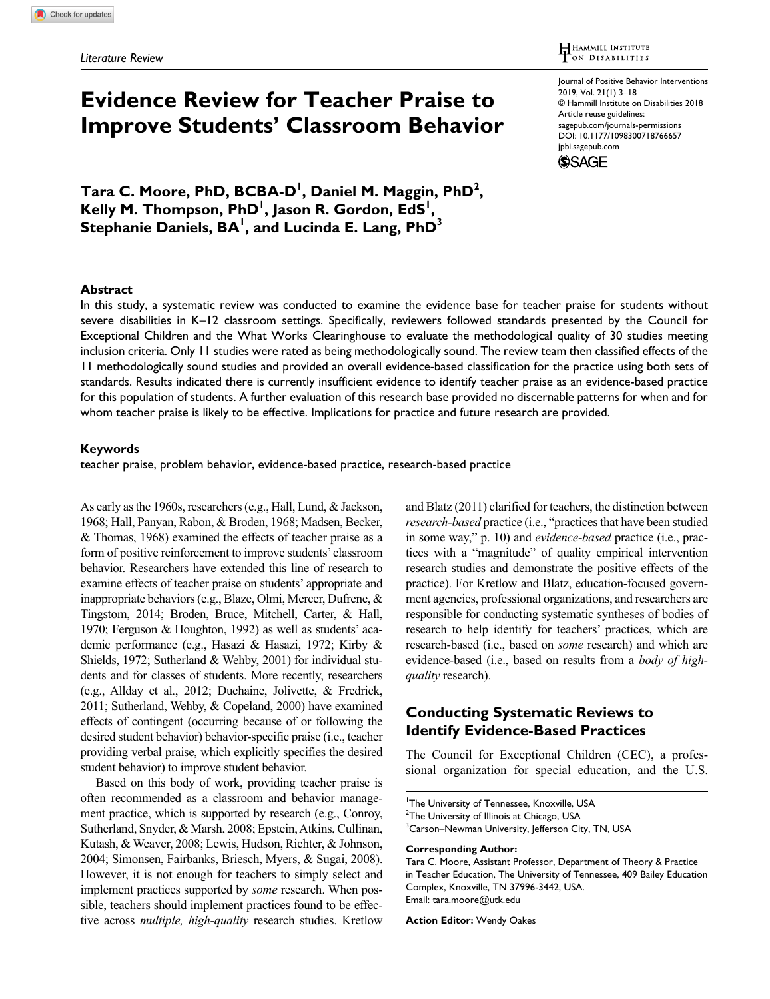### H HAMMILL INSTITUTE L<br>On Disabilities

# **Evidence Review for Teacher Praise to Improve Students' Classroom Behavior**

**Tara C. Moore, PhD, BCBA-D1 , Daniel M. Maggin, PhD2 ,**  Kelly M. Thompson, PhD<sup>1</sup>, Jason R. Gordon, EdS<sup>1</sup>, **Stephanie Daniels, BA1 , and Lucinda E. Lang, PhD3**

https://doi.org/10.1177/1098300718766657 DOI: 10.1177/1098300718766657 Journal of Positive Behavior Interventions 2019, Vol. 21(1) 3–18 © Hammill Institute on Disabilities 2018 Article reuse guidelines: [sagepub.com/journals-permissions](https://us.sagepub.com/en-us/journals-permissions) [jpbi.sagepub.com](https://jpbi.sagepub.com)



### **Abstract**

In this study, a systematic review was conducted to examine the evidence base for teacher praise for students without severe disabilities in K–12 classroom settings. Specifically, reviewers followed standards presented by the Council for Exceptional Children and the What Works Clearinghouse to evaluate the methodological quality of 30 studies meeting inclusion criteria. Only 11 studies were rated as being methodologically sound. The review team then classified effects of the 11 methodologically sound studies and provided an overall evidence-based classification for the practice using both sets of standards. Results indicated there is currently insufficient evidence to identify teacher praise as an evidence-based practice for this population of students. A further evaluation of this research base provided no discernable patterns for when and for whom teacher praise is likely to be effective. Implications for practice and future research are provided.

#### **Keywords**

teacher praise, problem behavior, evidence-based practice, research-based practice

As early as the 1960s, researchers (e.g., Hall, Lund, & Jackson, 1968; Hall, Panyan, Rabon, & Broden, 1968; Madsen, Becker, & Thomas, 1968) examined the effects of teacher praise as a form of positive reinforcement to improve students' classroom behavior. Researchers have extended this line of research to examine effects of teacher praise on students' appropriate and inappropriate behaviors (e.g., Blaze, Olmi, Mercer, Dufrene, & Tingstom, 2014; Broden, Bruce, Mitchell, Carter, & Hall, 1970; Ferguson & Houghton, 1992) as well as students' academic performance (e.g., Hasazi & Hasazi, 1972; Kirby & Shields, 1972; Sutherland & Wehby, 2001) for individual students and for classes of students. More recently, researchers (e.g., Allday et al., 2012; Duchaine, Jolivette, & Fredrick, 2011; Sutherland, Wehby, & Copeland, 2000) have examined effects of contingent (occurring because of or following the desired student behavior) behavior-specific praise (i.e., teacher providing verbal praise, which explicitly specifies the desired student behavior) to improve student behavior.

Based on this body of work, providing teacher praise is often recommended as a classroom and behavior management practice, which is supported by research (e.g., Conroy, Sutherland, Snyder, & Marsh, 2008; Epstein, Atkins, Cullinan, Kutash, & Weaver, 2008; Lewis, Hudson, Richter, & Johnson, 2004; Simonsen, Fairbanks, Briesch, Myers, & Sugai, 2008). However, it is not enough for teachers to simply select and implement practices supported by *some* research. When possible, teachers should implement practices found to be effective across *multiple, high-quality* research studies. Kretlow

and Blatz (2011) clarified for teachers, the distinction between *research-based* practice (i.e., "practices that have been studied in some way," p. 10) and *evidence-based* practice (i.e., practices with a "magnitude" of quality empirical intervention research studies and demonstrate the positive effects of the practice). For Kretlow and Blatz, education-focused government agencies, professional organizations, and researchers are responsible for conducting systematic syntheses of bodies of research to help identify for teachers' practices, which are research-based (i.e., based on *some* research) and which are evidence-based (i.e., based on results from a *body of highquality* research).

# **Conducting Systematic Reviews to Identify Evidence-Based Practices**

The Council for Exceptional Children (CEC), a professional organization for special education, and the U.S.

#### **Corresponding Author:**

Tara C. Moore, Assistant Professor, Department of Theory & Practice in Teacher Education, The University of Tennessee, 409 Bailey Education Complex, Knoxville, TN 37996-3442, USA. Email: [tara.moore@utk.edu](mailto:tara.moore@utk.edu)

**Action Editor:** Wendy Oakes

<sup>&</sup>lt;sup>1</sup>The University of Tennessee, Knoxville, USA

 $^{2}$ The University of Illinois at Chicago, USA

<sup>&</sup>lt;sup>3</sup>Carson–Newman University, Jefferson City, TN, USA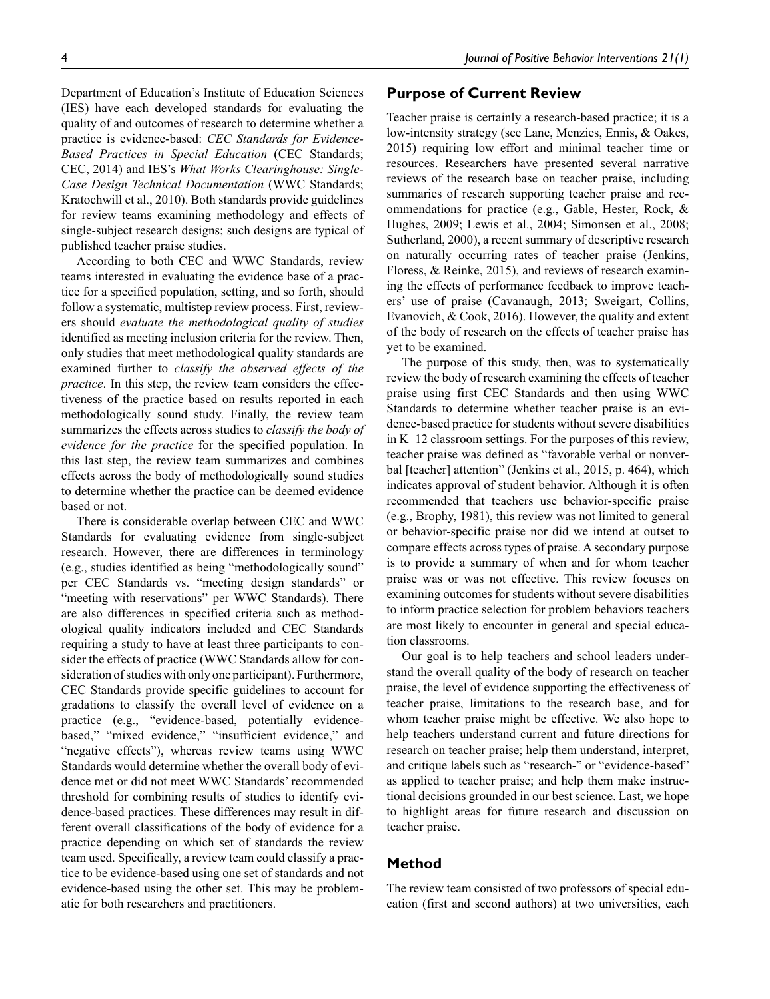Department of Education's Institute of Education Sciences (IES) have each developed standards for evaluating the quality of and outcomes of research to determine whether a practice is evidence-based: *CEC Standards for Evidence-Based Practices in Special Education* (CEC Standards; CEC, 2014) and IES's *What Works Clearinghouse: Single-Case Design Technical Documentation* (WWC Standards; Kratochwill et al., 2010). Both standards provide guidelines for review teams examining methodology and effects of single-subject research designs; such designs are typical of published teacher praise studies.

According to both CEC and WWC Standards, review teams interested in evaluating the evidence base of a practice for a specified population, setting, and so forth, should follow a systematic, multistep review process. First, reviewers should *evaluate the methodological quality of studies* identified as meeting inclusion criteria for the review. Then, only studies that meet methodological quality standards are examined further to *classify the observed effects of the practice*. In this step, the review team considers the effectiveness of the practice based on results reported in each methodologically sound study. Finally, the review team summarizes the effects across studies to *classify the body of evidence for the practice* for the specified population. In this last step, the review team summarizes and combines effects across the body of methodologically sound studies to determine whether the practice can be deemed evidence based or not.

There is considerable overlap between CEC and WWC Standards for evaluating evidence from single-subject research. However, there are differences in terminology (e.g., studies identified as being "methodologically sound" per CEC Standards vs. "meeting design standards" or "meeting with reservations" per WWC Standards). There are also differences in specified criteria such as methodological quality indicators included and CEC Standards requiring a study to have at least three participants to consider the effects of practice (WWC Standards allow for consideration of studies with only one participant). Furthermore, CEC Standards provide specific guidelines to account for gradations to classify the overall level of evidence on a practice (e.g., "evidence-based, potentially evidencebased," "mixed evidence," "insufficient evidence," and "negative effects"), whereas review teams using WWC Standards would determine whether the overall body of evidence met or did not meet WWC Standards' recommended threshold for combining results of studies to identify evidence-based practices. These differences may result in different overall classifications of the body of evidence for a practice depending on which set of standards the review team used. Specifically, a review team could classify a practice to be evidence-based using one set of standards and not evidence-based using the other set. This may be problematic for both researchers and practitioners.

### **Purpose of Current Review**

Teacher praise is certainly a research-based practice; it is a low-intensity strategy (see Lane, Menzies, Ennis, & Oakes, 2015) requiring low effort and minimal teacher time or resources. Researchers have presented several narrative reviews of the research base on teacher praise, including summaries of research supporting teacher praise and recommendations for practice (e.g., Gable, Hester, Rock, & Hughes, 2009; Lewis et al., 2004; Simonsen et al., 2008; Sutherland, 2000), a recent summary of descriptive research on naturally occurring rates of teacher praise (Jenkins, Floress, & Reinke, 2015), and reviews of research examining the effects of performance feedback to improve teachers' use of praise (Cavanaugh, 2013; Sweigart, Collins, Evanovich, & Cook, 2016). However, the quality and extent of the body of research on the effects of teacher praise has yet to be examined.

The purpose of this study, then, was to systematically review the body of research examining the effects of teacher praise using first CEC Standards and then using WWC Standards to determine whether teacher praise is an evidence-based practice for students without severe disabilities in K–12 classroom settings. For the purposes of this review, teacher praise was defined as "favorable verbal or nonverbal [teacher] attention" (Jenkins et al., 2015, p. 464), which indicates approval of student behavior. Although it is often recommended that teachers use behavior-specific praise (e.g., Brophy, 1981), this review was not limited to general or behavior-specific praise nor did we intend at outset to compare effects across types of praise. A secondary purpose is to provide a summary of when and for whom teacher praise was or was not effective. This review focuses on examining outcomes for students without severe disabilities to inform practice selection for problem behaviors teachers are most likely to encounter in general and special education classrooms.

Our goal is to help teachers and school leaders understand the overall quality of the body of research on teacher praise, the level of evidence supporting the effectiveness of teacher praise, limitations to the research base, and for whom teacher praise might be effective. We also hope to help teachers understand current and future directions for research on teacher praise; help them understand, interpret, and critique labels such as "research-" or "evidence-based" as applied to teacher praise; and help them make instructional decisions grounded in our best science. Last, we hope to highlight areas for future research and discussion on teacher praise.

### **Method**

The review team consisted of two professors of special education (first and second authors) at two universities, each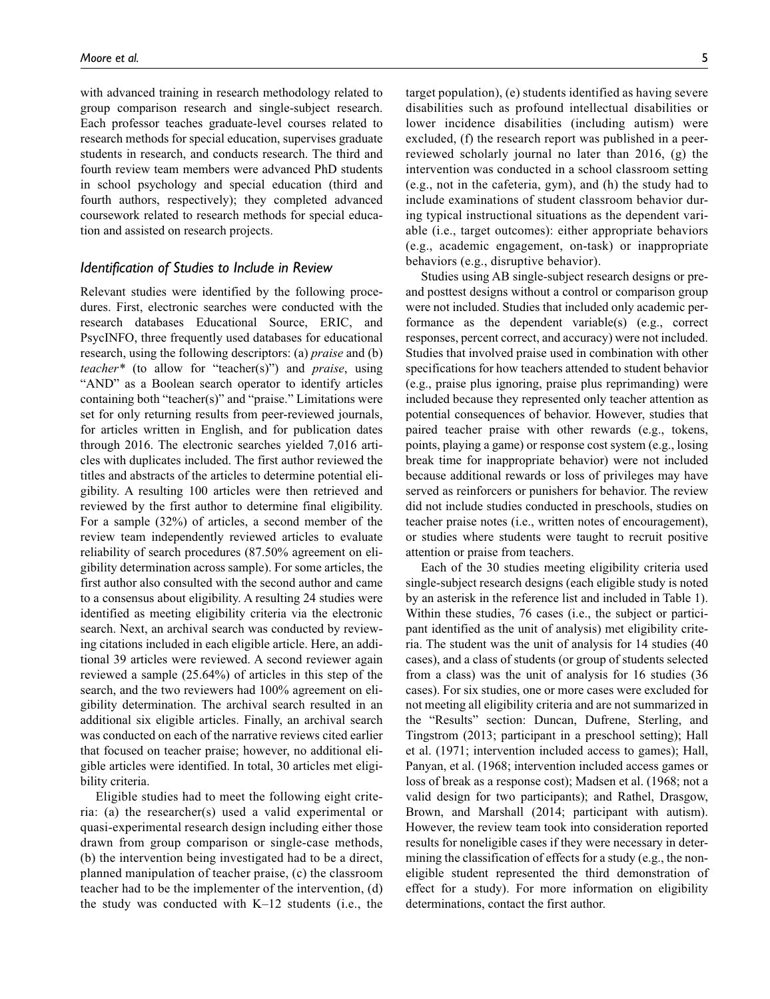with advanced training in research methodology related to group comparison research and single-subject research. Each professor teaches graduate-level courses related to research methods for special education, supervises graduate students in research, and conducts research. The third and fourth review team members were advanced PhD students in school psychology and special education (third and fourth authors, respectively); they completed advanced coursework related to research methods for special education and assisted on research projects.

#### *Identification of Studies to Include in Review*

Relevant studies were identified by the following procedures. First, electronic searches were conducted with the research databases Educational Source, ERIC, and PsycINFO, three frequently used databases for educational research, using the following descriptors: (a) *praise* and (b) *teacher\** (to allow for "teacher(s)") and *praise*, using "AND" as a Boolean search operator to identify articles containing both "teacher(s)" and "praise." Limitations were set for only returning results from peer-reviewed journals, for articles written in English, and for publication dates through 2016. The electronic searches yielded 7,016 articles with duplicates included. The first author reviewed the titles and abstracts of the articles to determine potential eligibility. A resulting 100 articles were then retrieved and reviewed by the first author to determine final eligibility. For a sample (32%) of articles, a second member of the review team independently reviewed articles to evaluate reliability of search procedures (87.50% agreement on eligibility determination across sample). For some articles, the first author also consulted with the second author and came to a consensus about eligibility. A resulting 24 studies were identified as meeting eligibility criteria via the electronic search. Next, an archival search was conducted by reviewing citations included in each eligible article. Here, an additional 39 articles were reviewed. A second reviewer again reviewed a sample (25.64%) of articles in this step of the search, and the two reviewers had 100% agreement on eligibility determination. The archival search resulted in an additional six eligible articles. Finally, an archival search was conducted on each of the narrative reviews cited earlier that focused on teacher praise; however, no additional eligible articles were identified. In total, 30 articles met eligibility criteria.

Eligible studies had to meet the following eight criteria: (a) the researcher(s) used a valid experimental or quasi-experimental research design including either those drawn from group comparison or single-case methods, (b) the intervention being investigated had to be a direct, planned manipulation of teacher praise, (c) the classroom teacher had to be the implementer of the intervention, (d) the study was conducted with K–12 students (i.e., the target population), (e) students identified as having severe disabilities such as profound intellectual disabilities or lower incidence disabilities (including autism) were excluded, (f) the research report was published in a peerreviewed scholarly journal no later than 2016, (g) the intervention was conducted in a school classroom setting (e.g., not in the cafeteria, gym), and (h) the study had to include examinations of student classroom behavior during typical instructional situations as the dependent variable (i.e., target outcomes): either appropriate behaviors (e.g., academic engagement, on-task) or inappropriate behaviors (e.g., disruptive behavior).

Studies using AB single-subject research designs or preand posttest designs without a control or comparison group were not included. Studies that included only academic performance as the dependent variable(s) (e.g., correct responses, percent correct, and accuracy) were not included. Studies that involved praise used in combination with other specifications for how teachers attended to student behavior (e.g., praise plus ignoring, praise plus reprimanding) were included because they represented only teacher attention as potential consequences of behavior. However, studies that paired teacher praise with other rewards (e.g., tokens, points, playing a game) or response cost system (e.g., losing break time for inappropriate behavior) were not included because additional rewards or loss of privileges may have served as reinforcers or punishers for behavior. The review did not include studies conducted in preschools, studies on teacher praise notes (i.e., written notes of encouragement), or studies where students were taught to recruit positive attention or praise from teachers.

Each of the 30 studies meeting eligibility criteria used single-subject research designs (each eligible study is noted by an asterisk in the reference list and included in Table 1). Within these studies, 76 cases (i.e., the subject or participant identified as the unit of analysis) met eligibility criteria. The student was the unit of analysis for 14 studies (40 cases), and a class of students (or group of students selected from a class) was the unit of analysis for 16 studies (36 cases). For six studies, one or more cases were excluded for not meeting all eligibility criteria and are not summarized in the "Results" section: Duncan, Dufrene, Sterling, and Tingstrom (2013; participant in a preschool setting); Hall et al. (1971; intervention included access to games); Hall, Panyan, et al. (1968; intervention included access games or loss of break as a response cost); Madsen et al. (1968; not a valid design for two participants); and Rathel, Drasgow, Brown, and Marshall (2014; participant with autism). However, the review team took into consideration reported results for noneligible cases if they were necessary in determining the classification of effects for a study (e.g., the noneligible student represented the third demonstration of effect for a study). For more information on eligibility determinations, contact the first author.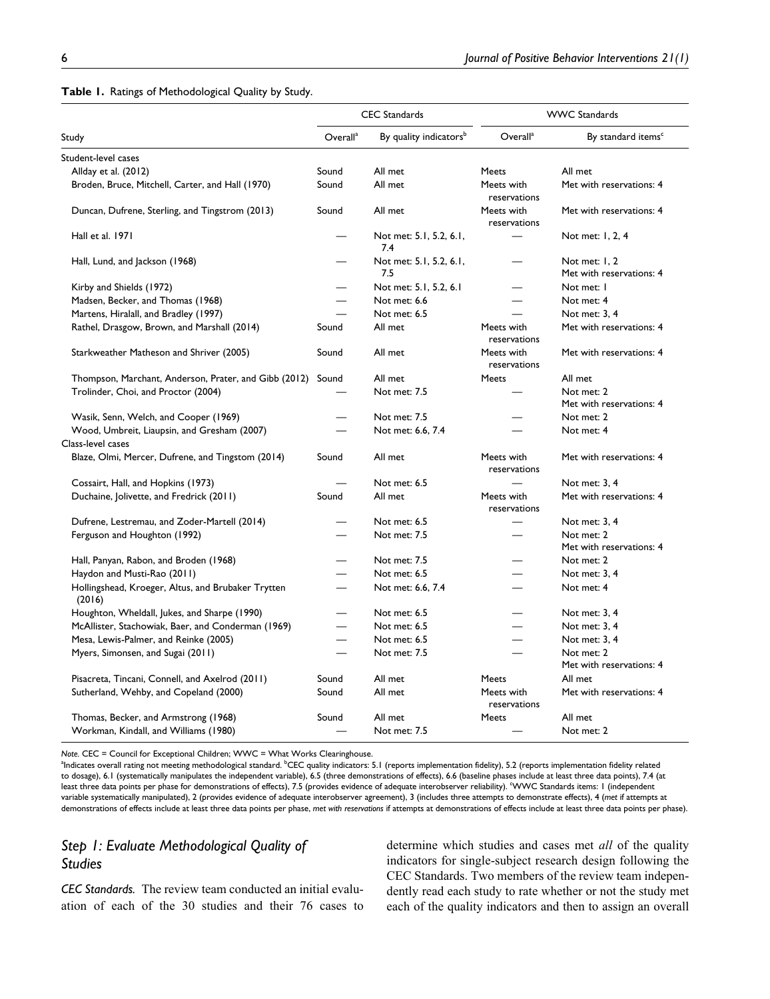**Table 1.** Ratings of Methodological Quality by Study.

|                                                              |                          | <b>CEC</b> Standards               | <b>WWC Standards</b>       |                                           |  |
|--------------------------------------------------------------|--------------------------|------------------------------------|----------------------------|-------------------------------------------|--|
| Study                                                        | Overall <sup>a</sup>     | By quality indicators <sup>b</sup> | Overall <sup>a</sup>       | By standard items <sup>c</sup>            |  |
| Student-level cases                                          |                          |                                    |                            |                                           |  |
| Allday et al. (2012)                                         | Sound                    | All met                            | <b>Meets</b>               | All met                                   |  |
| Broden, Bruce, Mitchell, Carter, and Hall (1970)             | Sound                    | All met                            | Meets with<br>reservations | Met with reservations: 4                  |  |
| Duncan, Dufrene, Sterling, and Tingstrom (2013)              | Sound                    | All met                            | Meets with<br>reservations | Met with reservations: 4                  |  |
| Hall et al. 1971                                             |                          | Not met: 5.1, 5.2, 6.1,<br>7.4     |                            | Not met: 1, 2, 4                          |  |
| Hall, Lund, and Jackson (1968)                               |                          | Not met: 5.1, 5.2, 6.1,<br>7.5     |                            | Not met: 1, 2<br>Met with reservations: 4 |  |
| Kirby and Shields (1972)                                     |                          | Not met: 5.1, 5.2, 6.1             |                            | Not met: I                                |  |
| Madsen, Becker, and Thomas (1968)                            | $\overline{\phantom{0}}$ | Not met: 6.6                       | $\overline{\phantom{0}}$   | Not met: 4                                |  |
| Martens, Hiralall, and Bradley (1997)                        | ÷,                       | Not met: 6.5                       |                            | Not met: 3, 4                             |  |
| Rathel, Drasgow, Brown, and Marshall (2014)                  | Sound                    | All met                            | Meets with<br>reservations | Met with reservations: 4                  |  |
| Starkweather Matheson and Shriver (2005)                     | Sound                    | All met                            | Meets with<br>reservations | Met with reservations: 4                  |  |
| Thompson, Marchant, Anderson, Prater, and Gibb (2012)        | Sound                    | All met                            | <b>Meets</b>               | All met                                   |  |
| Trolinder, Choi, and Proctor (2004)                          |                          | Not met: 7.5                       |                            | Not met: 2<br>Met with reservations: 4    |  |
| Wasik, Senn, Welch, and Cooper (1969)                        |                          | Not met: 7.5                       |                            | Not met: 2                                |  |
| Wood, Umbreit, Liaupsin, and Gresham (2007)                  |                          | Not met: 6.6, 7.4                  |                            | Not met: 4                                |  |
| Class-level cases                                            |                          |                                    |                            |                                           |  |
| Blaze, Olmi, Mercer, Dufrene, and Tingstom (2014)            | Sound                    | All met                            | Meets with<br>reservations | Met with reservations: 4                  |  |
| Cossairt, Hall, and Hopkins (1973)                           |                          | Not met: 6.5                       |                            | Not met: 3, 4                             |  |
| Duchaine, Jolivette, and Fredrick (2011)                     | Sound                    | All met                            | Meets with<br>reservations | Met with reservations: 4                  |  |
| Dufrene, Lestremau, and Zoder-Martell (2014)                 |                          | Not met: 6.5                       |                            | Not met: 3, 4                             |  |
| Ferguson and Houghton (1992)                                 |                          | Not met: 7.5                       |                            | Not met: 2<br>Met with reservations: 4    |  |
| Hall, Panyan, Rabon, and Broden (1968)                       | $\overline{\phantom{0}}$ | Not met: 7.5                       |                            | Not met: 2                                |  |
| Haydon and Musti-Rao (2011)                                  | $\overline{\phantom{0}}$ | Not met: 6.5                       |                            | Not met: 3, 4                             |  |
| Hollingshead, Kroeger, Altus, and Brubaker Trytten<br>(2016) |                          | Not met: 6.6, 7.4                  |                            | Not met: 4                                |  |
| Houghton, Wheldall, Jukes, and Sharpe (1990)                 |                          | Not met: 6.5                       |                            | Not met: 3, 4                             |  |
| McAllister, Stachowiak, Baer, and Conderman (1969)           | $\overline{\phantom{0}}$ | Not met: 6.5                       |                            | Not met: 3, 4                             |  |
| Mesa, Lewis-Palmer, and Reinke (2005)                        | $\overline{\phantom{0}}$ | Not met: 6.5                       | $\overline{\phantom{0}}$   | Not met: 3, 4                             |  |
| Myers, Simonsen, and Sugai (2011)                            |                          | Not met: 7.5                       |                            | Not met: 2<br>Met with reservations: 4    |  |
| Pisacreta, Tincani, Connell, and Axelrod (2011)              | Sound                    | All met                            | Meets                      | All met                                   |  |
| Sutherland, Wehby, and Copeland (2000)                       | Sound                    | All met                            | Meets with<br>reservations | Met with reservations: 4                  |  |
| Thomas, Becker, and Armstrong (1968)                         | Sound                    | All met                            | Meets                      | All met                                   |  |
| Workman, Kindall, and Williams (1980)                        |                          | Not met: 7.5                       |                            | Not met: 2                                |  |
|                                                              |                          |                                    |                            |                                           |  |

*Note.* CEC = Council for Exceptional Children; WWC = What Works Clearinghouse.

<sup>a</sup>Indicates overall rating not meeting methodological standard. <sup>b</sup>CEC quality indicators: 5.1 (reports implementation fidelity), 5.2 (reports implementation fidelity related to dosage), 6.1 (systematically manipulates the independent variable), 6.5 (three demonstrations of effects), 6.6 (baseline phases include at least three data points), 7.4 (at least three data points per phase for demonstrations of effects), 7.5 (provides evidence of adequate interobserver reliability). <sup>c</sup>WWC Standards items: 1 (independent variable systematically manipulated), 2 (provides evidence of adequate interobserver agreement), 3 (includes three attempts to demonstrate effects), 4 (*met* if attempts at demonstrations of effects include at least three data points per phase, *met with reservations* if attempts at demonstrations of effects include at least three data points per phase).

# *Step 1: Evaluate Methodological Quality of Studies*

*CEC Standards.* The review team conducted an initial evaluation of each of the 30 studies and their 76 cases to

determine which studies and cases met *all* of the quality indicators for single-subject research design following the CEC Standards. Two members of the review team independently read each study to rate whether or not the study met each of the quality indicators and then to assign an overall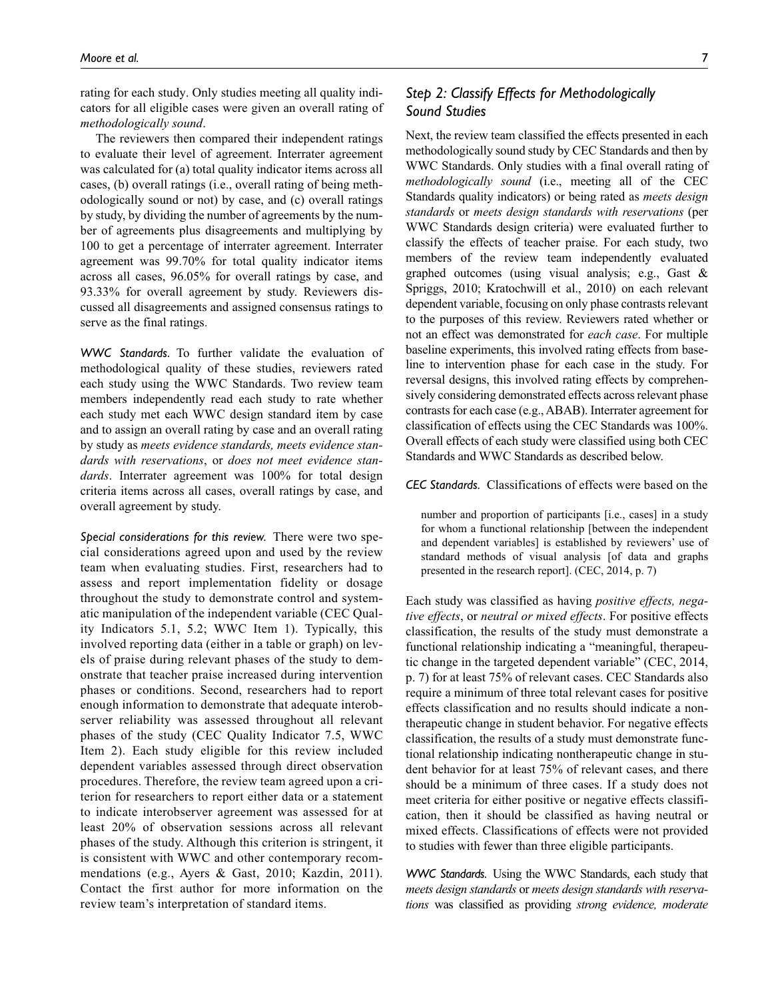rating for each study. Only studies meeting all quality indicators for all eligible cases were given an overall rating of *methodologically sound*.

The reviewers then compared their independent ratings to evaluate their level of agreement. Interrater agreement was calculated for (a) total quality indicator items across all cases, (b) overall ratings (i.e., overall rating of being methodologically sound or not) by case, and (c) overall ratings by study, by dividing the number of agreements by the number of agreements plus disagreements and multiplying by 100 to get a percentage of interrater agreement. Interrater agreement was 99.70% for total quality indicator items across all cases, 96.05% for overall ratings by case, and 93.33% for overall agreement by study. Reviewers discussed all disagreements and assigned consensus ratings to serve as the final ratings.

*WWC Standards.* To further validate the evaluation of methodological quality of these studies, reviewers rated each study using the WWC Standards. Two review team members independently read each study to rate whether each study met each WWC design standard item by case and to assign an overall rating by case and an overall rating by study as *meets evidence standards, meets evidence standards with reservations*, or *does not meet evidence standards*. Interrater agreement was 100% for total design criteria items across all cases, overall ratings by case, and overall agreement by study.

*Special considerations for this review.* There were two special considerations agreed upon and used by the review team when evaluating studies. First, researchers had to assess and report implementation fidelity or dosage throughout the study to demonstrate control and systematic manipulation of the independent variable (CEC Quality Indicators 5.1, 5.2; WWC Item 1). Typically, this involved reporting data (either in a table or graph) on levels of praise during relevant phases of the study to demonstrate that teacher praise increased during intervention phases or conditions. Second, researchers had to report enough information to demonstrate that adequate interobserver reliability was assessed throughout all relevant phases of the study (CEC Quality Indicator 7.5, WWC Item 2). Each study eligible for this review included dependent variables assessed through direct observation procedures. Therefore, the review team agreed upon a criterion for researchers to report either data or a statement to indicate interobserver agreement was assessed for at least 20% of observation sessions across all relevant phases of the study. Although this criterion is stringent, it is consistent with WWC and other contemporary recommendations (e.g., Ayers & Gast, 2010; Kazdin, 2011). Contact the first author for more information on the review team's interpretation of standard items.

# *Step 2: Classify Effects for Methodologically Sound Studies*

Next, the review team classified the effects presented in each methodologically sound study by CEC Standards and then by WWC Standards. Only studies with a final overall rating of *methodologically sound* (i.e., meeting all of the CEC Standards quality indicators) or being rated as *meets design standards* or *meets design standards with reservations* (per WWC Standards design criteria) were evaluated further to classify the effects of teacher praise. For each study, two members of the review team independently evaluated graphed outcomes (using visual analysis; e.g., Gast & Spriggs, 2010; Kratochwill et al., 2010) on each relevant dependent variable, focusing on only phase contrasts relevant to the purposes of this review. Reviewers rated whether or not an effect was demonstrated for *each case*. For multiple baseline experiments, this involved rating effects from baseline to intervention phase for each case in the study. For reversal designs, this involved rating effects by comprehensively considering demonstrated effects across relevant phase contrasts for each case (e.g., ABAB). Interrater agreement for classification of effects using the CEC Standards was 100%. Overall effects of each study were classified using both CEC Standards and WWC Standards as described below.

*CEC Standards.* Classifications of effects were based on the

number and proportion of participants [i.e., cases] in a study for whom a functional relationship [between the independent and dependent variables] is established by reviewers' use of standard methods of visual analysis [of data and graphs presented in the research report]. (CEC, 2014, p. 7)

Each study was classified as having *positive effects, negative effects*, or *neutral or mixed effects*. For positive effects classification, the results of the study must demonstrate a functional relationship indicating a "meaningful, therapeutic change in the targeted dependent variable" (CEC, 2014, p. 7) for at least 75% of relevant cases. CEC Standards also require a minimum of three total relevant cases for positive effects classification and no results should indicate a nontherapeutic change in student behavior. For negative effects classification, the results of a study must demonstrate functional relationship indicating nontherapeutic change in student behavior for at least 75% of relevant cases, and there should be a minimum of three cases. If a study does not meet criteria for either positive or negative effects classification, then it should be classified as having neutral or mixed effects. Classifications of effects were not provided to studies with fewer than three eligible participants.

*WWC Standards.* Using the WWC Standards, each study that *meets design standards* or *meets design standards with reservations* was classified as providing *strong evidence, moderate*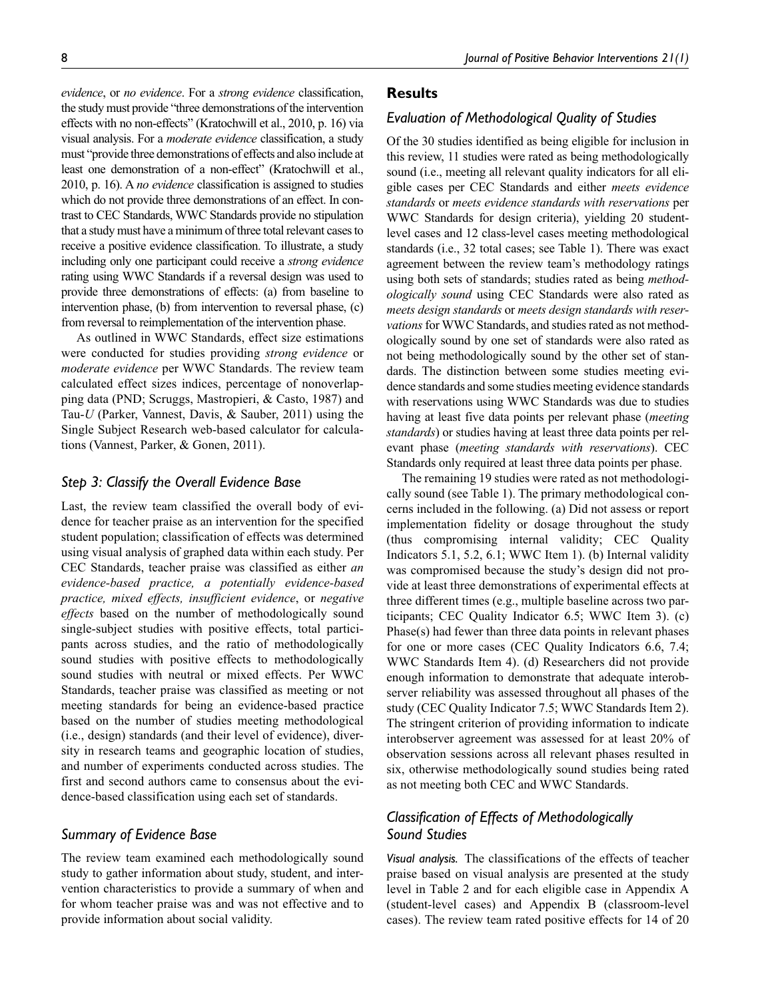*evidence*, or *no evidence*. For a *strong evidence* classification, the study must provide "three demonstrations of the intervention effects with no non-effects" (Kratochwill et al., 2010, p. 16) via visual analysis. For a *moderate evidence* classification, a study must "provide three demonstrations of effects and also include at least one demonstration of a non-effect" (Kratochwill et al., 2010, p. 16). A *no evidence* classification is assigned to studies which do not provide three demonstrations of an effect. In contrast to CEC Standards, WWC Standards provide no stipulation that a study must have a minimum of three total relevant cases to receive a positive evidence classification. To illustrate, a study including only one participant could receive a *strong evidence* rating using WWC Standards if a reversal design was used to provide three demonstrations of effects: (a) from baseline to intervention phase, (b) from intervention to reversal phase, (c) from reversal to reimplementation of the intervention phase.

As outlined in WWC Standards, effect size estimations were conducted for studies providing *strong evidence* or *moderate evidence* per WWC Standards. The review team calculated effect sizes indices, percentage of nonoverlapping data (PND; Scruggs, Mastropieri, & Casto, 1987) and Tau-*U* (Parker, Vannest, Davis, & Sauber, 2011) using the Single Subject Research web-based calculator for calculations (Vannest, Parker, & Gonen, 2011).

### *Step 3: Classify the Overall Evidence Base*

Last, the review team classified the overall body of evidence for teacher praise as an intervention for the specified student population; classification of effects was determined using visual analysis of graphed data within each study. Per CEC Standards, teacher praise was classified as either *an evidence-based practice, a potentially evidence-based practice, mixed effects, insufficient evidence*, or *negative effects* based on the number of methodologically sound single-subject studies with positive effects, total participants across studies, and the ratio of methodologically sound studies with positive effects to methodologically sound studies with neutral or mixed effects. Per WWC Standards, teacher praise was classified as meeting or not meeting standards for being an evidence-based practice based on the number of studies meeting methodological (i.e., design) standards (and their level of evidence), diversity in research teams and geographic location of studies, and number of experiments conducted across studies. The first and second authors came to consensus about the evidence-based classification using each set of standards.

# *Summary of Evidence Base*

The review team examined each methodologically sound study to gather information about study, student, and intervention characteristics to provide a summary of when and for whom teacher praise was and was not effective and to provide information about social validity.

### **Results**

### *Evaluation of Methodological Quality of Studies*

Of the 30 studies identified as being eligible for inclusion in this review, 11 studies were rated as being methodologically sound (i.e., meeting all relevant quality indicators for all eligible cases per CEC Standards and either *meets evidence standards* or *meets evidence standards with reservations* per WWC Standards for design criteria), yielding 20 studentlevel cases and 12 class-level cases meeting methodological standards (i.e., 32 total cases; see Table 1). There was exact agreement between the review team's methodology ratings using both sets of standards; studies rated as being *methodologically sound* using CEC Standards were also rated as *meets design standards* or *meets design standards with reservations* for WWC Standards, and studies rated as not methodologically sound by one set of standards were also rated as not being methodologically sound by the other set of standards. The distinction between some studies meeting evidence standards and some studies meeting evidence standards with reservations using WWC Standards was due to studies having at least five data points per relevant phase (*meeting standards*) or studies having at least three data points per relevant phase (*meeting standards with reservations*). CEC Standards only required at least three data points per phase.

The remaining 19 studies were rated as not methodologically sound (see Table 1). The primary methodological concerns included in the following. (a) Did not assess or report implementation fidelity or dosage throughout the study (thus compromising internal validity; CEC Quality Indicators 5.1, 5.2, 6.1; WWC Item 1). (b) Internal validity was compromised because the study's design did not provide at least three demonstrations of experimental effects at three different times (e.g., multiple baseline across two participants; CEC Quality Indicator 6.5; WWC Item 3). (c) Phase(s) had fewer than three data points in relevant phases for one or more cases (CEC Quality Indicators 6.6, 7.4; WWC Standards Item 4). (d) Researchers did not provide enough information to demonstrate that adequate interobserver reliability was assessed throughout all phases of the study (CEC Quality Indicator 7.5; WWC Standards Item 2). The stringent criterion of providing information to indicate interobserver agreement was assessed for at least 20% of observation sessions across all relevant phases resulted in six, otherwise methodologically sound studies being rated as not meeting both CEC and WWC Standards.

# *Classification of Effects of Methodologically Sound Studies*

*Visual analysis.* The classifications of the effects of teacher praise based on visual analysis are presented at the study level in Table 2 and for each eligible case in Appendix A (student-level cases) and Appendix B (classroom-level cases). The review team rated positive effects for 14 of 20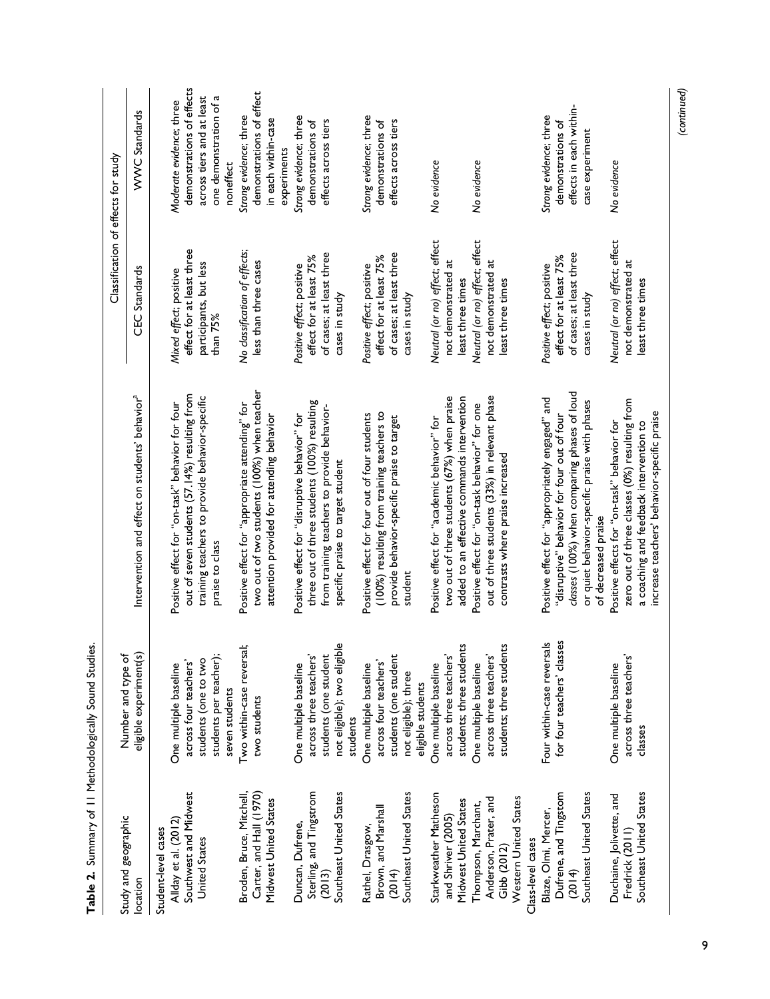| Study and geographic                                                                                                                                         | Number and type of                                                                                                                                        |                                                                                                                                                                                                                                                                                  | Classification of effects for study                                                                                                                        |                                                                                                                           |
|--------------------------------------------------------------------------------------------------------------------------------------------------------------|-----------------------------------------------------------------------------------------------------------------------------------------------------------|----------------------------------------------------------------------------------------------------------------------------------------------------------------------------------------------------------------------------------------------------------------------------------|------------------------------------------------------------------------------------------------------------------------------------------------------------|---------------------------------------------------------------------------------------------------------------------------|
| location                                                                                                                                                     | eligible experiment(s)                                                                                                                                    | Intervention and effect on students' behavior <sup>a</sup>                                                                                                                                                                                                                       | CEC Standards                                                                                                                                              | WWC Standards                                                                                                             |
| Southwest and Midwest<br>Allday et al. (2012)<br>Student-level cases<br><b>United States</b>                                                                 | students per teacher);<br>across four teachers'<br>students (one to two<br>One multiple baseline<br>seven students                                        | out of seven students (57.14%) resulting from<br>training teachers to provide behavior-specific<br>Positive effect for "on-task" behavior for four<br>praise to class                                                                                                            | effect for at least three<br>participants, but less<br>Mixed effect; positive<br>than 75%                                                                  | demonstrations of effects<br>across tiers and at least<br>one demonstration of a<br>Moderate evidence; three<br>noneffect |
| Carter, and Hall (1970)<br>Broden, Bruce, Mitchell,<br>Midwest United States                                                                                 | Two within-case reversal;<br>two students                                                                                                                 | two out of two students (100%) when teacher<br>Positive effect for "appropriate attending" for<br>attention provided for attending behavior                                                                                                                                      | No classification of effects;<br>less than three cases                                                                                                     | demonstrations of effect<br>Strong evidence; three<br>in each within-case<br>experiments                                  |
| Sterling, and Tingstrom<br>Southeast United States<br>Duncan, Dufrene,<br>(2013)                                                                             | not eligible); two eligible<br>across three teachers'<br>students (one student<br>One multiple baseline                                                   | three out of three students (100%) resulting<br>from training teachers to provide behavior-<br>Positive effect for "disruptive behavior" for<br>specific praise to target student                                                                                                | of cases; at least three<br>effect for at least 75%<br>Positive effect; positive<br>cases in study                                                         | Strong evidence; three<br>effects across tiers<br>demonstrations of                                                       |
| Southeast United States<br>Brown, and Marshall<br>Rathel, Drasgow,<br>(2014)                                                                                 | students (one student<br>across four teachers'<br>One multiple baseline<br>not eligible); three<br>eligible students<br>students                          | (100%) resulting from training teachers to<br>Positive effect for four out of four students<br>provide behavior-specific praise to target<br>studen                                                                                                                              | of cases; at least three<br>effect for at least 75%<br>Positive effect; positive<br>cases in study                                                         | Strong evidence; three<br>effects across tiers<br>demonstrations of                                                       |
| Starkweather Matheson<br>Western United States<br>Anderson, Prater, and<br>Midwest United States<br>Thompson, Marchant,<br>and Shriver (2005)<br>Gibb (2012) | students; three students<br>students; three students<br>across three teachers'<br>across three teachers<br>One multiple baseline<br>One multiple baseline | out of three students (33%) in relevant phase<br>two out of three students (67%) when praise<br>added to an effective commands intervention<br>Positive effect for "on-task behavior" for one<br>Positive effect for "academic behavior" for<br>contrasts where praise increased | Neutral (or no) effect; effect<br>Neutral (or no) effect; effect<br>đ<br>not demonstrated at<br>not demonstrated<br>least three times<br>least three times | No evidence<br>No evidence                                                                                                |
| Southeast United States<br>Dufrene, and Tingstom<br>Blaze, Olmi, Mercer,<br>Class-level cases<br>(2014)                                                      | for four teachers' classes<br>Four within-case reversals                                                                                                  | classes (100%) when comparing phases of loud<br>Positive effect for "appropriately engaged" and<br>or quiet behavior-specific praise with phases<br>"disruptive" behavior for four out of four<br>of decreased praise                                                            | of cases; at least three<br>effect for at least 75%<br>Positive effect; positive<br>cases in study                                                         | effects in each within-<br>Strong evidence; three<br>demonstrations of<br>case experiment                                 |
| Southeast United States<br>Duchaine, Jolivette, and<br>Fredrick (2011)                                                                                       | across three teachers'<br>One multiple baseline<br>classes                                                                                                | zero out of three classes (0%) resulting from<br>increase teachers' behavior-specific praise<br>Positive effects for "on-task" behavior for<br>a coaching and feedback intervention to                                                                                           | Neutral (or no) effect; effect<br>ä<br>not demonstrated<br>least three times                                                                               | No evidence                                                                                                               |

Table 2. Summary of II Methodologically Sound Studies. **Table 2.** Summary of 11 Methodologically Sound Studies.

*(continued)*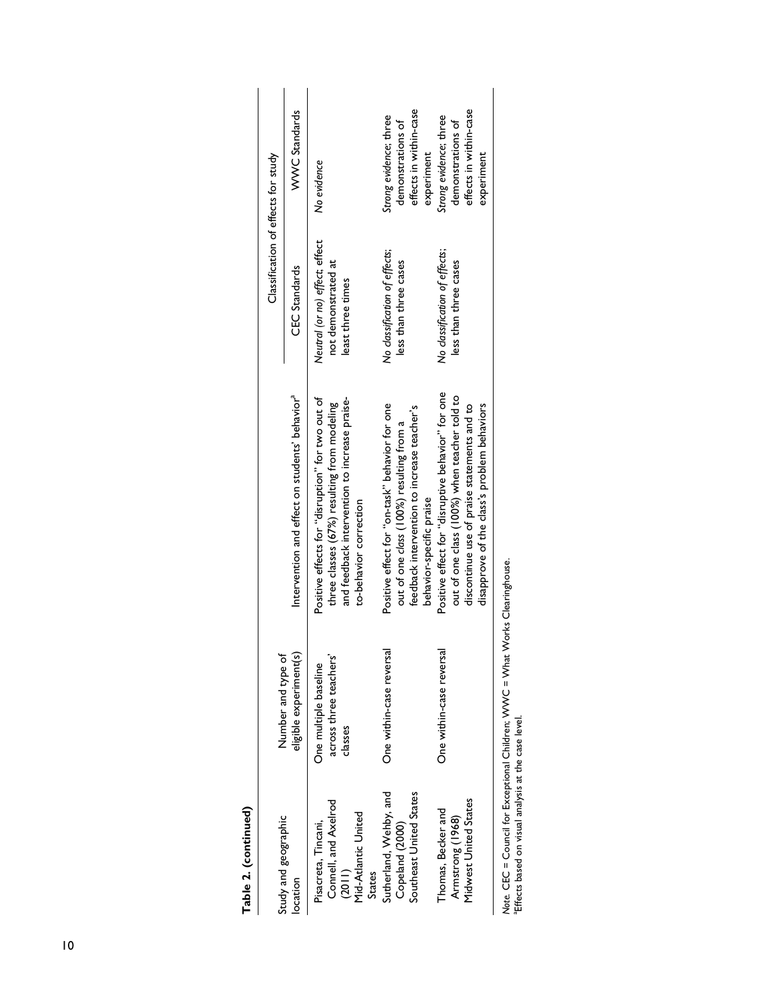|                                                                                              |                                                            |                                                                                                                                                                                                 | Classification of effects for study                                        |                                                                                     |
|----------------------------------------------------------------------------------------------|------------------------------------------------------------|-------------------------------------------------------------------------------------------------------------------------------------------------------------------------------------------------|----------------------------------------------------------------------------|-------------------------------------------------------------------------------------|
| Study and geographic<br>location                                                             | Number and type of<br>eligible experiment(s)               | Intervention and effect on students' behavior <sup>a</sup>                                                                                                                                      | CEC Standards                                                              | <b>WWC</b> Standards                                                                |
| Connell, and Axelrod<br>Mid-Atlantic United<br>Pisacreta, Tincani,<br>(201)<br><b>States</b> | across three teachers'<br>One multiple baseline<br>classes | Positive effects for "disruption" for two out of<br>and feedback intervention to increase praise-<br>three classes (67%) resulting from modeling<br>to-behavior correction                      | Neutral (or no) effect; effect<br>not demonstrated at<br>least three times | No evidence                                                                         |
| Sutherland, Wehby, and<br>Southeast United States<br>Copeland (2000)                         | One within-case reversal                                   | Positive effect for "on-task" behavior for one<br>feedback intervention to increase teacher's<br>out of one class (100%) resulting from a<br>behavior-specific praise                           | No classification of effects;<br>less than three cases                     | effects in within-case<br>Strong evidence; three<br>demonstrations of<br>experiment |
| Midwest United States<br>Thomas, Becker and<br>Armstrong (1968)                              | One within-case reversal                                   | Positive effect for "disruptive behavior" for one<br>out of one class (100%) when teacher told to<br>disapprove of the class's problem behaviors<br>discontinue use of praise statements and to | No classification of effects;<br>less than three cases                     | effects in within-case<br>Strong evidence; three<br>demonstrations of<br>experiment |

 $\mathsf{L}$ lear III gri Duse. *Note.* CEC = Council for Exceptional Children; WWC = What Works Clearinghouse.  $\frac{2}{5}$ ۔<br>یا .<br>ز Effects based on visual analysis at the case level.

a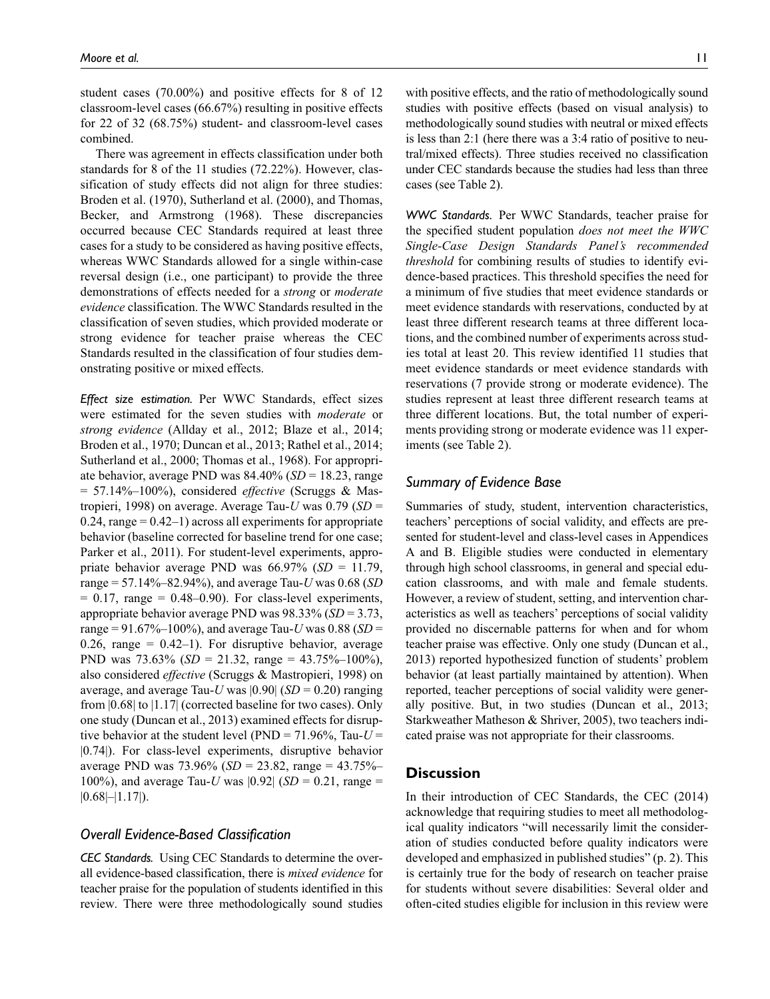student cases (70.00%) and positive effects for 8 of 12 classroom-level cases (66.67%) resulting in positive effects for 22 of 32 (68.75%) student- and classroom-level cases combined.

There was agreement in effects classification under both standards for 8 of the 11 studies (72.22%). However, classification of study effects did not align for three studies: Broden et al. (1970), Sutherland et al. (2000), and Thomas, Becker, and Armstrong (1968). These discrepancies occurred because CEC Standards required at least three cases for a study to be considered as having positive effects, whereas WWC Standards allowed for a single within-case reversal design (i.e., one participant) to provide the three demonstrations of effects needed for a *strong* or *moderate evidence* classification. The WWC Standards resulted in the classification of seven studies, which provided moderate or strong evidence for teacher praise whereas the CEC Standards resulted in the classification of four studies demonstrating positive or mixed effects.

*Effect size estimation.* Per WWC Standards, effect sizes were estimated for the seven studies with *moderate* or *strong evidence* (Allday et al., 2012; Blaze et al., 2014; Broden et al., 1970; Duncan et al., 2013; Rathel et al., 2014; Sutherland et al., 2000; Thomas et al., 1968). For appropriate behavior, average PND was 84.40% (*SD* = 18.23, range = 57.14%–100%), considered *effective* (Scruggs & Mastropieri, 1998) on average. Average Tau-*U* was 0.79 (*SD* = 0.24, range  $= 0.42-1$ ) across all experiments for appropriate behavior (baseline corrected for baseline trend for one case; Parker et al., 2011). For student-level experiments, appropriate behavior average PND was 66.97% (*SD* = 11.79, range = 57.14%–82.94%), and average Tau-*U* was 0.68 (*SD*  $= 0.17$ , range  $= 0.48 - 0.90$ . For class-level experiments, appropriate behavior average PND was 98.33% (*SD* = 3.73, range = 91.67%–100%), and average Tau-*U* was 0.88 (*SD* = 0.26, range =  $0.42-1$ ). For disruptive behavior, average PND was 73.63% (*SD* = 21.32, range = 43.75%–100%), also considered *effective* (Scruggs & Mastropieri, 1998) on average, and average Tau-*U* was  $|0.90|$  (*SD* = 0.20) ranging from |0.68| to |1.17| (corrected baseline for two cases). Only one study (Duncan et al., 2013) examined effects for disruptive behavior at the student level (PND = 71.96%, Tau-*U* = |0.74|). For class-level experiments, disruptive behavior average PND was 73.96% (*SD* = 23.82, range = 43.75%– 100%), and average Tau-*U* was  $|0.92|$  (*SD* = 0.21, range =  $|0.68|$ – $|1.17|$ ).

### *Overall Evidence-Based Classification*

*CEC Standards.* Using CEC Standards to determine the overall evidence-based classification, there is *mixed evidence* for teacher praise for the population of students identified in this review. There were three methodologically sound studies

with positive effects, and the ratio of methodologically sound studies with positive effects (based on visual analysis) to methodologically sound studies with neutral or mixed effects is less than 2:1 (here there was a 3:4 ratio of positive to neutral/mixed effects). Three studies received no classification under CEC standards because the studies had less than three cases (see Table 2).

*WWC Standards.* Per WWC Standards, teacher praise for the specified student population *does not meet the WWC Single-Case Design Standards Panel's recommended threshold* for combining results of studies to identify evidence-based practices. This threshold specifies the need for a minimum of five studies that meet evidence standards or meet evidence standards with reservations, conducted by at least three different research teams at three different locations, and the combined number of experiments across studies total at least 20. This review identified 11 studies that meet evidence standards or meet evidence standards with reservations (7 provide strong or moderate evidence). The studies represent at least three different research teams at three different locations. But, the total number of experiments providing strong or moderate evidence was 11 experiments (see Table 2).

### *Summary of Evidence Base*

Summaries of study, student, intervention characteristics, teachers' perceptions of social validity, and effects are presented for student-level and class-level cases in Appendices A and B. Eligible studies were conducted in elementary through high school classrooms, in general and special education classrooms, and with male and female students. However, a review of student, setting, and intervention characteristics as well as teachers' perceptions of social validity provided no discernable patterns for when and for whom teacher praise was effective. Only one study (Duncan et al., 2013) reported hypothesized function of students' problem behavior (at least partially maintained by attention). When reported, teacher perceptions of social validity were generally positive. But, in two studies (Duncan et al., 2013; Starkweather Matheson & Shriver, 2005), two teachers indicated praise was not appropriate for their classrooms.

### **Discussion**

In their introduction of CEC Standards, the CEC (2014) acknowledge that requiring studies to meet all methodological quality indicators "will necessarily limit the consideration of studies conducted before quality indicators were developed and emphasized in published studies" (p. 2). This is certainly true for the body of research on teacher praise for students without severe disabilities: Several older and often-cited studies eligible for inclusion in this review were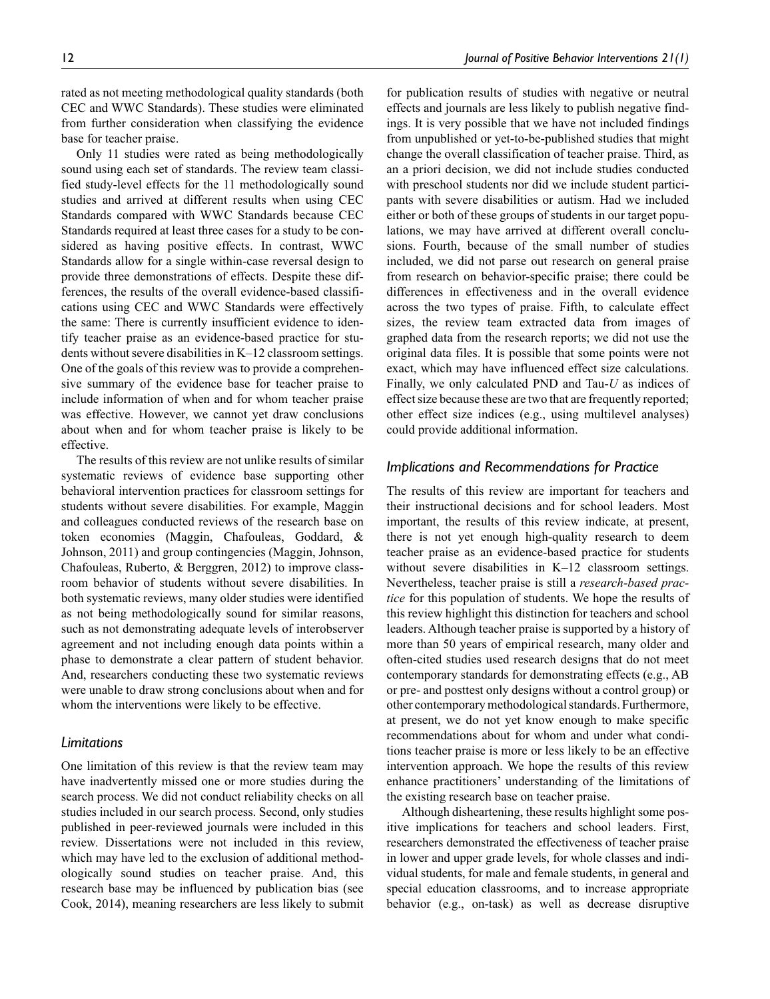rated as not meeting methodological quality standards (both CEC and WWC Standards). These studies were eliminated from further consideration when classifying the evidence base for teacher praise.

Only 11 studies were rated as being methodologically sound using each set of standards. The review team classified study-level effects for the 11 methodologically sound studies and arrived at different results when using CEC Standards compared with WWC Standards because CEC Standards required at least three cases for a study to be considered as having positive effects. In contrast, WWC Standards allow for a single within-case reversal design to provide three demonstrations of effects. Despite these differences, the results of the overall evidence-based classifications using CEC and WWC Standards were effectively the same: There is currently insufficient evidence to identify teacher praise as an evidence-based practice for students without severe disabilities in K–12 classroom settings. One of the goals of this review was to provide a comprehensive summary of the evidence base for teacher praise to include information of when and for whom teacher praise was effective. However, we cannot yet draw conclusions about when and for whom teacher praise is likely to be effective.

The results of this review are not unlike results of similar systematic reviews of evidence base supporting other behavioral intervention practices for classroom settings for students without severe disabilities. For example, Maggin and colleagues conducted reviews of the research base on token economies (Maggin, Chafouleas, Goddard, & Johnson, 2011) and group contingencies (Maggin, Johnson, Chafouleas, Ruberto, & Berggren, 2012) to improve classroom behavior of students without severe disabilities. In both systematic reviews, many older studies were identified as not being methodologically sound for similar reasons, such as not demonstrating adequate levels of interobserver agreement and not including enough data points within a phase to demonstrate a clear pattern of student behavior. And, researchers conducting these two systematic reviews were unable to draw strong conclusions about when and for whom the interventions were likely to be effective.

### *Limitations*

One limitation of this review is that the review team may have inadvertently missed one or more studies during the search process. We did not conduct reliability checks on all studies included in our search process. Second, only studies published in peer-reviewed journals were included in this review. Dissertations were not included in this review, which may have led to the exclusion of additional methodologically sound studies on teacher praise. And, this research base may be influenced by publication bias (see Cook, 2014), meaning researchers are less likely to submit for publication results of studies with negative or neutral effects and journals are less likely to publish negative findings. It is very possible that we have not included findings from unpublished or yet-to-be-published studies that might change the overall classification of teacher praise. Third, as an a priori decision, we did not include studies conducted with preschool students nor did we include student participants with severe disabilities or autism. Had we included either or both of these groups of students in our target populations, we may have arrived at different overall conclusions. Fourth, because of the small number of studies included, we did not parse out research on general praise from research on behavior-specific praise; there could be differences in effectiveness and in the overall evidence across the two types of praise. Fifth, to calculate effect sizes, the review team extracted data from images of graphed data from the research reports; we did not use the original data files. It is possible that some points were not exact, which may have influenced effect size calculations. Finally, we only calculated PND and Tau-*U* as indices of effect size because these are two that are frequently reported; other effect size indices (e.g., using multilevel analyses) could provide additional information.

### *Implications and Recommendations for Practice*

The results of this review are important for teachers and their instructional decisions and for school leaders. Most important, the results of this review indicate, at present, there is not yet enough high-quality research to deem teacher praise as an evidence-based practice for students without severe disabilities in K–12 classroom settings. Nevertheless, teacher praise is still a *research-based practice* for this population of students. We hope the results of this review highlight this distinction for teachers and school leaders. Although teacher praise is supported by a history of more than 50 years of empirical research, many older and often-cited studies used research designs that do not meet contemporary standards for demonstrating effects (e.g., AB or pre- and posttest only designs without a control group) or other contemporary methodological standards. Furthermore, at present, we do not yet know enough to make specific recommendations about for whom and under what conditions teacher praise is more or less likely to be an effective intervention approach. We hope the results of this review enhance practitioners' understanding of the limitations of the existing research base on teacher praise.

Although disheartening, these results highlight some positive implications for teachers and school leaders. First, researchers demonstrated the effectiveness of teacher praise in lower and upper grade levels, for whole classes and individual students, for male and female students, in general and special education classrooms, and to increase appropriate behavior (e.g., on-task) as well as decrease disruptive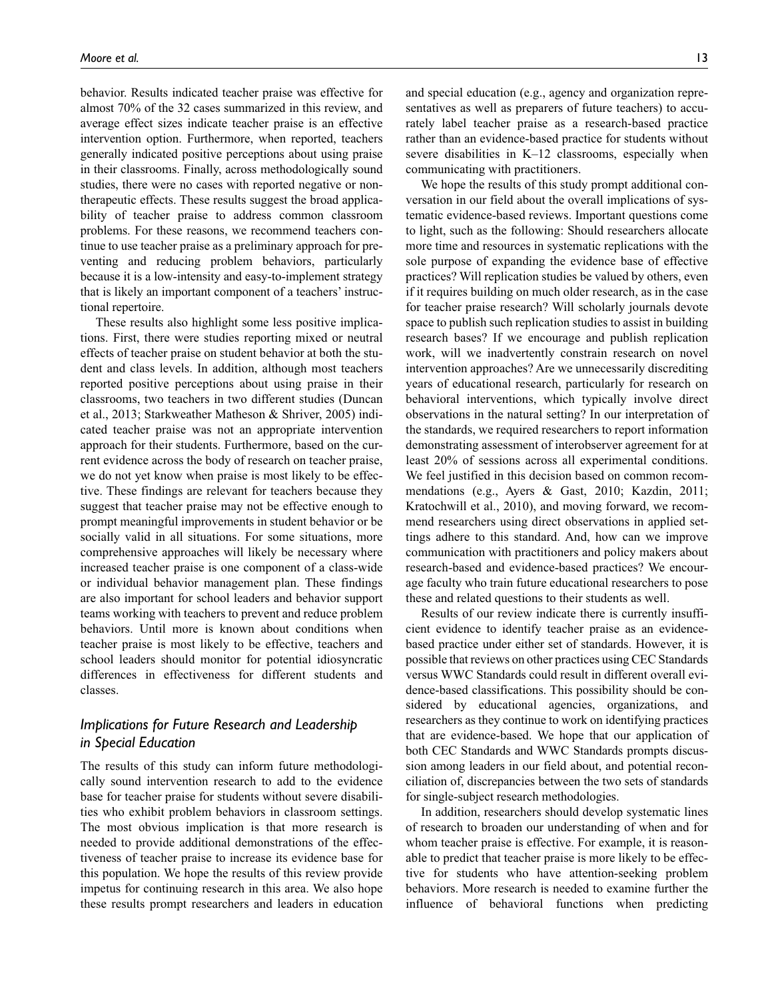behavior. Results indicated teacher praise was effective for almost 70% of the 32 cases summarized in this review, and average effect sizes indicate teacher praise is an effective intervention option. Furthermore, when reported, teachers generally indicated positive perceptions about using praise in their classrooms. Finally, across methodologically sound studies, there were no cases with reported negative or nontherapeutic effects. These results suggest the broad applicability of teacher praise to address common classroom problems. For these reasons, we recommend teachers continue to use teacher praise as a preliminary approach for preventing and reducing problem behaviors, particularly because it is a low-intensity and easy-to-implement strategy that is likely an important component of a teachers' instructional repertoire.

These results also highlight some less positive implications. First, there were studies reporting mixed or neutral effects of teacher praise on student behavior at both the student and class levels. In addition, although most teachers reported positive perceptions about using praise in their classrooms, two teachers in two different studies (Duncan et al., 2013; Starkweather Matheson & Shriver, 2005) indicated teacher praise was not an appropriate intervention approach for their students. Furthermore, based on the current evidence across the body of research on teacher praise, we do not yet know when praise is most likely to be effective. These findings are relevant for teachers because they suggest that teacher praise may not be effective enough to prompt meaningful improvements in student behavior or be socially valid in all situations. For some situations, more comprehensive approaches will likely be necessary where increased teacher praise is one component of a class-wide or individual behavior management plan. These findings are also important for school leaders and behavior support teams working with teachers to prevent and reduce problem behaviors. Until more is known about conditions when teacher praise is most likely to be effective, teachers and school leaders should monitor for potential idiosyncratic differences in effectiveness for different students and classes.

# *Implications for Future Research and Leadership in Special Education*

The results of this study can inform future methodologically sound intervention research to add to the evidence base for teacher praise for students without severe disabilities who exhibit problem behaviors in classroom settings. The most obvious implication is that more research is needed to provide additional demonstrations of the effectiveness of teacher praise to increase its evidence base for this population. We hope the results of this review provide impetus for continuing research in this area. We also hope these results prompt researchers and leaders in education

and special education (e.g., agency and organization representatives as well as preparers of future teachers) to accurately label teacher praise as a research-based practice rather than an evidence-based practice for students without severe disabilities in K–12 classrooms, especially when communicating with practitioners.

We hope the results of this study prompt additional conversation in our field about the overall implications of systematic evidence-based reviews. Important questions come to light, such as the following: Should researchers allocate more time and resources in systematic replications with the sole purpose of expanding the evidence base of effective practices? Will replication studies be valued by others, even if it requires building on much older research, as in the case for teacher praise research? Will scholarly journals devote space to publish such replication studies to assist in building research bases? If we encourage and publish replication work, will we inadvertently constrain research on novel intervention approaches? Are we unnecessarily discrediting years of educational research, particularly for research on behavioral interventions, which typically involve direct observations in the natural setting? In our interpretation of the standards, we required researchers to report information demonstrating assessment of interobserver agreement for at least 20% of sessions across all experimental conditions. We feel justified in this decision based on common recommendations (e.g., Ayers & Gast, 2010; Kazdin, 2011; Kratochwill et al., 2010), and moving forward, we recommend researchers using direct observations in applied settings adhere to this standard. And, how can we improve communication with practitioners and policy makers about research-based and evidence-based practices? We encourage faculty who train future educational researchers to pose these and related questions to their students as well.

Results of our review indicate there is currently insufficient evidence to identify teacher praise as an evidencebased practice under either set of standards. However, it is possible that reviews on other practices using CEC Standards versus WWC Standards could result in different overall evidence-based classifications. This possibility should be considered by educational agencies, organizations, and researchers as they continue to work on identifying practices that are evidence-based. We hope that our application of both CEC Standards and WWC Standards prompts discussion among leaders in our field about, and potential reconciliation of, discrepancies between the two sets of standards for single-subject research methodologies.

In addition, researchers should develop systematic lines of research to broaden our understanding of when and for whom teacher praise is effective. For example, it is reasonable to predict that teacher praise is more likely to be effective for students who have attention-seeking problem behaviors. More research is needed to examine further the influence of behavioral functions when predicting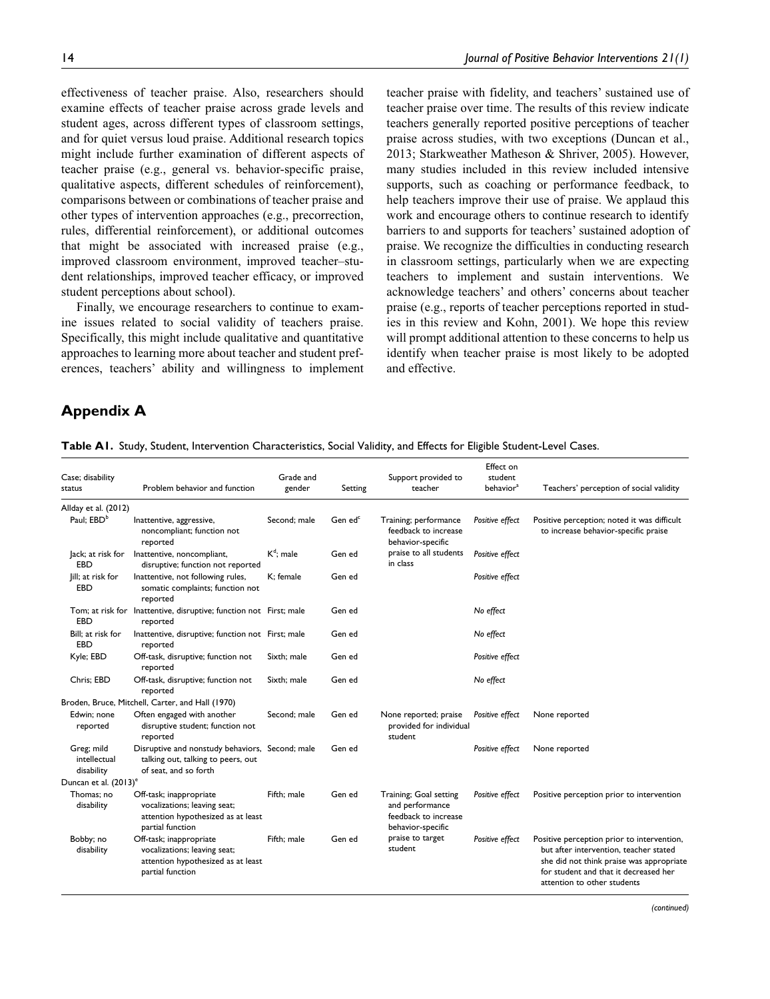effectiveness of teacher praise. Also, researchers should examine effects of teacher praise across grade levels and student ages, across different types of classroom settings, and for quiet versus loud praise. Additional research topics might include further examination of different aspects of teacher praise (e.g., general vs. behavior-specific praise, qualitative aspects, different schedules of reinforcement), comparisons between or combinations of teacher praise and other types of intervention approaches (e.g., precorrection, rules, differential reinforcement), or additional outcomes that might be associated with increased praise (e.g., improved classroom environment, improved teacher–student relationships, improved teacher efficacy, or improved student perceptions about school).

Finally, we encourage researchers to continue to examine issues related to social validity of teachers praise. Specifically, this might include qualitative and quantitative approaches to learning more about teacher and student preferences, teachers' ability and willingness to implement teacher praise with fidelity, and teachers' sustained use of teacher praise over time. The results of this review indicate teachers generally reported positive perceptions of teacher praise across studies, with two exceptions (Duncan et al., 2013; Starkweather Matheson & Shriver, 2005). However, many studies included in this review included intensive supports, such as coaching or performance feedback, to help teachers improve their use of praise. We applaud this work and encourage others to continue research to identify barriers to and supports for teachers' sustained adoption of praise. We recognize the difficulties in conducting research in classroom settings, particularly when we are expecting teachers to implement and sustain interventions. We acknowledge teachers' and others' concerns about teacher praise (e.g., reports of teacher perceptions reported in studies in this review and Kohn, 2001). We hope this review will prompt additional attention to these concerns to help us identify when teacher praise is most likely to be adopted and effective.

### **Appendix A**

**Table A1.** Study, Student, Intervention Characteristics, Social Validity, and Effects for Eligible Student-Level Cases.

| Case; disability<br>status               | Problem behavior and function                                                                                     | Grade and<br>gender | Setting             | Support provided to<br>teacher                                                         | Effect on<br>student<br>behavior <sup>a</sup> | Teachers' perception of social validity                                                                                                                                                                  |
|------------------------------------------|-------------------------------------------------------------------------------------------------------------------|---------------------|---------------------|----------------------------------------------------------------------------------------|-----------------------------------------------|----------------------------------------------------------------------------------------------------------------------------------------------------------------------------------------------------------|
| Allday et al. (2012)                     |                                                                                                                   |                     |                     |                                                                                        |                                               |                                                                                                                                                                                                          |
| Paul: EBD <sup>b</sup>                   | Inattentive, aggressive,<br>noncompliant; function not<br>reported                                                | Second: male        | Gen ed <sup>c</sup> | Training; performance<br>feedback to increase<br>behavior-specific                     | Positive effect                               | Positive perception; noted it was difficult<br>to increase behavior-specific praise                                                                                                                      |
| Jack; at risk for<br><b>EBD</b>          | Inattentive, noncompliant,<br>disruptive; function not reported                                                   | $K^d$ ; male        | Gen ed              | praise to all students<br>in class                                                     | Positive effect                               |                                                                                                                                                                                                          |
| Jill; at risk for<br><b>EBD</b>          | Inattentive, not following rules,<br>somatic complaints; function not<br>reported                                 | K: female           | Gen ed              |                                                                                        | Positive effect                               |                                                                                                                                                                                                          |
| <b>EBD</b>                               | Tom; at risk for Inattentive, disruptive; function not First; male<br>reported                                    |                     | Gen ed              |                                                                                        | No effect                                     |                                                                                                                                                                                                          |
| Bill: at risk for<br><b>EBD</b>          | Inattentive, disruptive; function not First; male<br>reported                                                     |                     | Gen ed              |                                                                                        | No effect                                     |                                                                                                                                                                                                          |
| Kyle; EBD                                | Off-task, disruptive; function not<br>reported                                                                    | Sixth: male         | Gen ed              |                                                                                        | Positive effect                               |                                                                                                                                                                                                          |
| Chris; EBD                               | Off-task, disruptive; function not<br>reported                                                                    | Sixth; male         | Gen ed              |                                                                                        | No effect                                     |                                                                                                                                                                                                          |
|                                          | Broden, Bruce, Mitchell, Carter, and Hall (1970)                                                                  |                     |                     |                                                                                        |                                               |                                                                                                                                                                                                          |
| Edwin: none<br>reported                  | Often engaged with another<br>disruptive student; function not<br>reported                                        | Second: male        | Gen ed              | None reported; praise<br>provided for individual<br>student                            | Positive effect                               | None reported                                                                                                                                                                                            |
| Greg; mild<br>intellectual<br>disability | Disruptive and nonstudy behaviors, Second; male<br>talking out, talking to peers, out<br>of seat, and so forth    |                     | Gen ed              |                                                                                        | Positive effect                               | None reported                                                                                                                                                                                            |
| Duncan et al. (2013) <sup>e</sup>        |                                                                                                                   |                     |                     |                                                                                        |                                               |                                                                                                                                                                                                          |
| Thomas: no<br>disability                 | Off-task; inappropriate<br>vocalizations; leaving seat;<br>attention hypothesized as at least<br>partial function | Fifth; male         | Gen ed              | Training; Goal setting<br>and performance<br>feedback to increase<br>behavior-specific | Positive effect                               | Positive perception prior to intervention                                                                                                                                                                |
| Bobby; no<br>disability                  | Off-task; inappropriate<br>vocalizations; leaving seat;<br>attention hypothesized as at least<br>partial function | Fifth; male         | Gen ed              | praise to target<br>student                                                            | Positive effect                               | Positive perception prior to intervention,<br>but after intervention, teacher stated<br>she did not think praise was appropriate<br>for student and that it decreased her<br>attention to other students |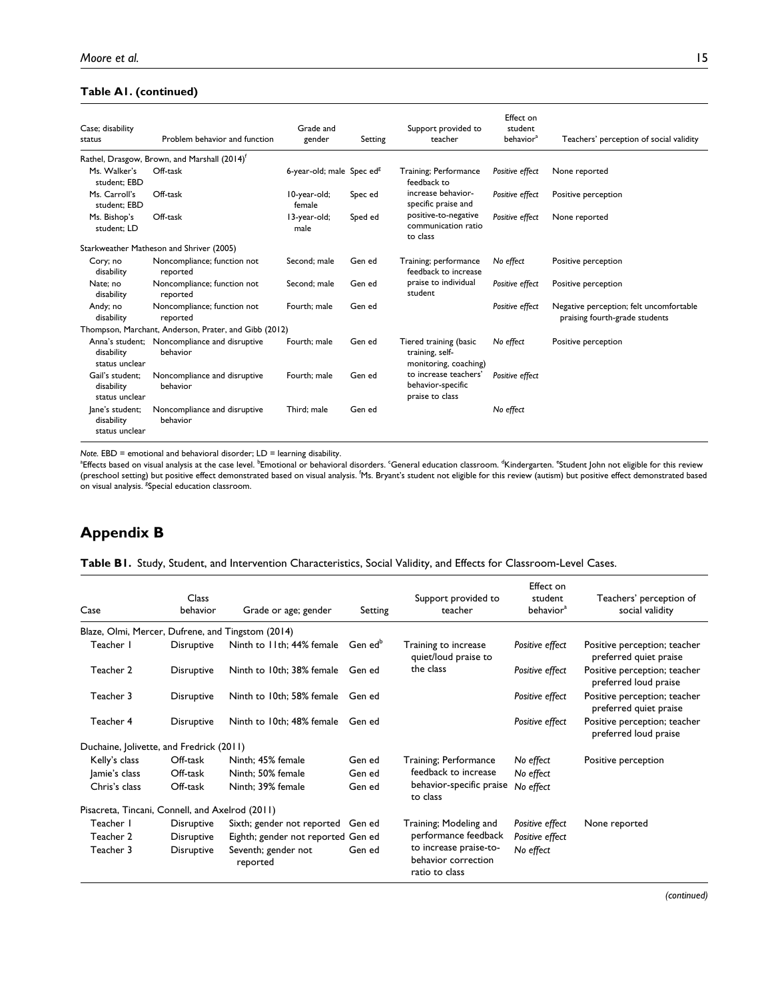### **Table A1. (continued)**

| Case; disability<br>status                      | Problem behavior and function                            | Grade and<br>gender                   | Setting | Support provided to<br>teacher                                     | Effect on<br>student<br>behavior <sup>a</sup> | Teachers' perception of social validity                                   |
|-------------------------------------------------|----------------------------------------------------------|---------------------------------------|---------|--------------------------------------------------------------------|-----------------------------------------------|---------------------------------------------------------------------------|
|                                                 | Rathel, Drasgow, Brown, and Marshall (2014) <sup>†</sup> |                                       |         |                                                                    |                                               |                                                                           |
| Ms. Walker's<br>student: EBD                    | Off-task                                                 | 6-year-old; male Spec ed <sup>8</sup> |         | Training; Performance<br>feedback to                               | Positive effect                               | None reported                                                             |
| Ms. Carroll's<br>student: EBD                   | Off-task                                                 | 10-year-old;<br>female                | Spec ed | increase behavior-<br>specific praise and                          | Positive effect                               | Positive perception                                                       |
| Ms. Bishop's<br>student: LD                     | Off-task                                                 | 13-year-old;<br>male                  | Sped ed | positive-to-negative<br>communication ratio<br>to class            | Positive effect                               | None reported                                                             |
|                                                 | Starkweather Matheson and Shriver (2005)                 |                                       |         |                                                                    |                                               |                                                                           |
| Cory; no<br>disability                          | Noncompliance; function not<br>reported                  | Second: male                          | Gen ed  | Training; performance<br>feedback to increase                      | No effect                                     | Positive perception                                                       |
| Nate; no<br>disability                          | Noncompliance; function not<br>reported                  | Second: male                          | Gen ed  | praise to individual<br>student                                    | Positive effect                               | Positive perception                                                       |
| Andy; no<br>disability                          | Noncompliance; function not<br>reported                  | Fourth: male                          | Gen ed  |                                                                    | Positive effect                               | Negative perception; felt uncomfortable<br>praising fourth-grade students |
|                                                 | Thompson, Marchant, Anderson, Prater, and Gibb (2012)    |                                       |         |                                                                    |                                               |                                                                           |
| Anna's student:<br>disability<br>status unclear | Noncompliance and disruptive<br>behavior                 | Fourth: male                          | Gen ed  | Tiered training (basic<br>training, self-<br>monitoring, coaching) | No effect                                     | Positive perception                                                       |
| Gail's student:<br>disability<br>status unclear | Noncompliance and disruptive<br>behavior                 | Fourth: male                          | Gen ed  | to increase teachers'<br>behavior-specific<br>praise to class      | Positive effect                               |                                                                           |
| lane's student;<br>disability<br>status unclear | Noncompliance and disruptive<br>behavior                 | Third: male                           | Gen ed  |                                                                    | No effect                                     |                                                                           |

*Note.* EBD = emotional and behavioral disorder; LD = learning disability.

<sup>a</sup>Effects based on visual analysis at the case level. <sup>b</sup>Emotional or behavioral disorders. 'General education classroom. <sup>d</sup>Kindergarten. 'Student John not eligible for this review (preschool setting) but positive effect demonstrated based on visual analysis. f Ms. Bryant's student not eligible for this review (autism) but positive effect demonstrated based on visual analysis. <sup>8</sup>Special education classroom.

# **Appendix B**

**Table B1.** Study, Student, and Intervention Characteristics, Social Validity, and Effects for Classroom-Level Cases.

| Case                                              | Class<br>behavior | Grade or age; gender               | Setting             | Support provided to<br>teacher                                  | Effect on<br>student<br>behavior <sup>a</sup> | Teachers' perception of<br>social validity             |
|---------------------------------------------------|-------------------|------------------------------------|---------------------|-----------------------------------------------------------------|-----------------------------------------------|--------------------------------------------------------|
| Blaze, Olmi, Mercer, Dufrene, and Tingstom (2014) |                   |                                    |                     |                                                                 |                                               |                                                        |
| Teacher I                                         | <b>Disruptive</b> | Ninth to 11th; 44% female          | Gen ed <sup>b</sup> | Training to increase<br>quiet/loud praise to                    | Positive effect                               | Positive perception; teacher<br>preferred quiet praise |
| Teacher 2                                         | Disruptive        | Ninth to 10th; 38% female          | Gen ed              | the class                                                       | Positive effect                               | Positive perception; teacher<br>preferred loud praise  |
| Teacher 3                                         | Disruptive        | Ninth to 10th; 58% female          | Gen ed              |                                                                 | Positive effect                               | Positive perception; teacher<br>preferred quiet praise |
| Teacher 4                                         | <b>Disruptive</b> | Ninth to 10th; 48% female Gen ed   |                     |                                                                 | Positive effect                               | Positive perception; teacher<br>preferred loud praise  |
| Duchaine, Jolivette, and Fredrick (2011)          |                   |                                    |                     |                                                                 |                                               |                                                        |
| Kelly's class                                     | Off-task          | Ninth: 45% female                  | Gen ed              | Training; Performance                                           | No effect                                     | Positive perception                                    |
| Jamie's class                                     | Off-task          | Ninth; 50% female                  | Gen ed              | feedback to increase                                            | No effect                                     |                                                        |
| Chris's class                                     | Off-task          | Ninth: 39% female                  | Gen ed              | behavior-specific praise<br>to class                            | No effect                                     |                                                        |
| Pisacreta, Tincani, Connell, and Axelrod (2011)   |                   |                                    |                     |                                                                 |                                               |                                                        |
| Teacher I                                         | Disruptive        | Sixth; gender not reported         | Gen ed              | Training; Modeling and                                          | Positive effect                               | None reported                                          |
| Teacher 2                                         | Disruptive        | Eighth; gender not reported Gen ed |                     | performance feedback                                            | Positive effect                               |                                                        |
| Teacher 3                                         | Disruptive        | Seventh; gender not<br>reported    | Gen ed              | to increase praise-to-<br>behavior correction<br>ratio to class | No effect                                     |                                                        |

*(continued)*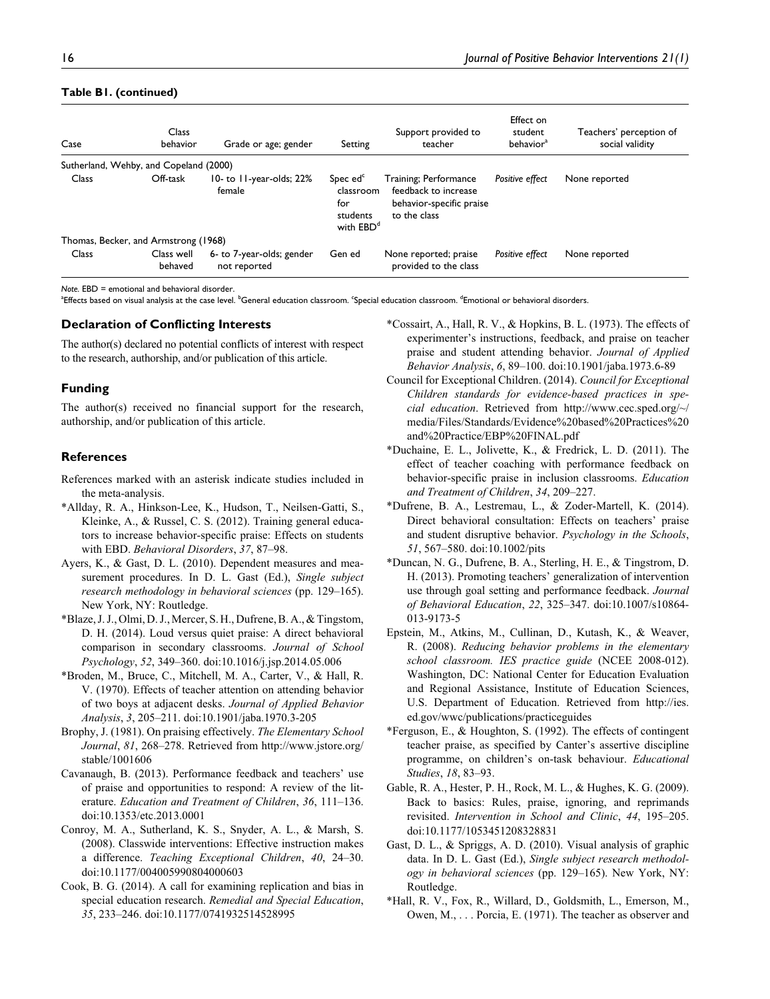#### **Table B1. (continued)**

| Case                                   | Class<br>behavior     | Grade or age; gender                      | Setting                                                             | Support provided to<br>teacher                                                            | Effect on<br>student<br>behavior <sup>a</sup> | Teachers' perception of<br>social validity |
|----------------------------------------|-----------------------|-------------------------------------------|---------------------------------------------------------------------|-------------------------------------------------------------------------------------------|-----------------------------------------------|--------------------------------------------|
| Sutherland, Wehby, and Copeland (2000) |                       |                                           |                                                                     |                                                                                           |                                               |                                            |
| Class                                  | Off-task              | 10- to 11-year-olds; 22%<br>female        | Spec $edc$<br>classroom<br>for<br>students<br>with EBD <sup>d</sup> | Training; Performance<br>feedback to increase<br>behavior-specific praise<br>to the class | Positive effect                               | None reported                              |
| Thomas, Becker, and Armstrong (1968)   |                       |                                           |                                                                     |                                                                                           |                                               |                                            |
| Class                                  | Class well<br>behaved | 6- to 7-year-olds; gender<br>not reported | Gen ed                                                              | None reported; praise<br>provided to the class                                            | Positive effect                               | None reported                              |

*Note.* EBD = emotional and behavioral disorder.

<sup>a</sup>Effects based on visual analysis at the case level. <sup>b</sup>General education classroom. <sup>c</sup>Special education classroom. <sup>d</sup>Emotional or behavioral disorders.

#### **Declaration of Conflicting Interests**

The author(s) declared no potential conflicts of interest with respect to the research, authorship, and/or publication of this article.

#### **Funding**

The author(s) received no financial support for the research, authorship, and/or publication of this article.

#### **References**

- References marked with an asterisk indicate studies included in the meta-analysis.
- \*Allday, R. A., Hinkson-Lee, K., Hudson, T., Neilsen-Gatti, S., Kleinke, A., & Russel, C. S. (2012). Training general educators to increase behavior-specific praise: Effects on students with EBD. *Behavioral Disorders*, *37*, 87–98.
- Ayers, K., & Gast, D. L. (2010). Dependent measures and measurement procedures. In D. L. Gast (Ed.), *Single subject research methodology in behavioral sciences* (pp. 129–165). New York, NY: Routledge.
- \*Blaze, J. J., Olmi, D. J., Mercer, S. H., Dufrene, B. A., & Tingstom, D. H. (2014). Loud versus quiet praise: A direct behavioral comparison in secondary classrooms. *Journal of School Psychology*, *52*, 349–360. doi:10.1016/j.jsp.2014.05.006
- \*Broden, M., Bruce, C., Mitchell, M. A., Carter, V., & Hall, R. V. (1970). Effects of teacher attention on attending behavior of two boys at adjacent desks. *Journal of Applied Behavior Analysis*, *3*, 205–211. doi:10.1901/jaba.1970.3-205
- Brophy, J. (1981). On praising effectively. *The Elementary School Journal*, *81*, 268–278. Retrieved from [http://www.jstore.org/](http://www.jstore.org/stable/1001606) [stable/1001606](http://www.jstore.org/stable/1001606)
- Cavanaugh, B. (2013). Performance feedback and teachers' use of praise and opportunities to respond: A review of the literature. *Education and Treatment of Children*, *36*, 111–136. doi:10.1353/etc.2013.0001
- Conroy, M. A., Sutherland, K. S., Snyder, A. L., & Marsh, S. (2008). Classwide interventions: Effective instruction makes a difference. *Teaching Exceptional Children*, *40*, 24–30. doi:10.1177/004005990804000603
- Cook, B. G. (2014). A call for examining replication and bias in special education research. *Remedial and Special Education*, *35*, 233–246. doi:10.1177/0741932514528995
- \*Cossairt, A., Hall, R. V., & Hopkins, B. L. (1973). The effects of experimenter's instructions, feedback, and praise on teacher praise and student attending behavior. *Journal of Applied Behavior Analysis*, *6*, 89–100. doi:10.1901/jaba.1973.6-89
- Council for Exceptional Children. (2014). *Council for Exceptional Children standards for evidence-based practices in special education*. Retrieved from [http://www.cec.sped.org/~/](http://www.cec.sped.org/~/media/Files/Standards/Evidence%20based%20Practices%20and%20Practice/EBP%20FINAL.pdf) [media/Files/Standards/Evidence%20based%20Practices%20](http://www.cec.sped.org/~/media/Files/Standards/Evidence%20based%20Practices%20and%20Practice/EBP%20FINAL.pdf) [and%20Practice/EBP%20FINAL.pdf](http://www.cec.sped.org/~/media/Files/Standards/Evidence%20based%20Practices%20and%20Practice/EBP%20FINAL.pdf)
- \*Duchaine, E. L., Jolivette, K., & Fredrick, L. D. (2011). The effect of teacher coaching with performance feedback on behavior-specific praise in inclusion classrooms. *Education and Treatment of Children*, *34*, 209–227.
- \*Dufrene, B. A., Lestremau, L., & Zoder-Martell, K. (2014). Direct behavioral consultation: Effects on teachers' praise and student disruptive behavior. *Psychology in the Schools*, *51*, 567–580. doi:10.1002/pits
- \*Duncan, N. G., Dufrene, B. A., Sterling, H. E., & Tingstrom, D. H. (2013). Promoting teachers' generalization of intervention use through goal setting and performance feedback. *Journal of Behavioral Education*, *22*, 325–347. doi:10.1007/s10864- 013-9173-5
- Epstein, M., Atkins, M., Cullinan, D., Kutash, K., & Weaver, R. (2008). *Reducing behavior problems in the elementary school classroom. IES practice guide* (NCEE 2008-012). Washington, DC: National Center for Education Evaluation and Regional Assistance, Institute of Education Sciences, U.S. Department of Education. Retrieved from [http://ies.](http://ies.ed.gov/wwc/publications/practiceguides) [ed.gov/wwc/publications/practiceguides](http://ies.ed.gov/wwc/publications/practiceguides)
- \*Ferguson, E., & Houghton, S. (1992). The effects of contingent teacher praise, as specified by Canter's assertive discipline programme, on children's on-task behaviour. *Educational Studies*, *18*, 83–93.
- Gable, R. A., Hester, P. H., Rock, M. L., & Hughes, K. G. (2009). Back to basics: Rules, praise, ignoring, and reprimands revisited. *Intervention in School and Clinic*, *44*, 195–205. doi:10.1177/1053451208328831
- Gast, D. L., & Spriggs, A. D. (2010). Visual analysis of graphic data. In D. L. Gast (Ed.), *Single subject research methodology in behavioral sciences* (pp. 129–165). New York, NY: Routledge.
- \*Hall, R. V., Fox, R., Willard, D., Goldsmith, L., Emerson, M., Owen, M., . . . Porcia, E. (1971). The teacher as observer and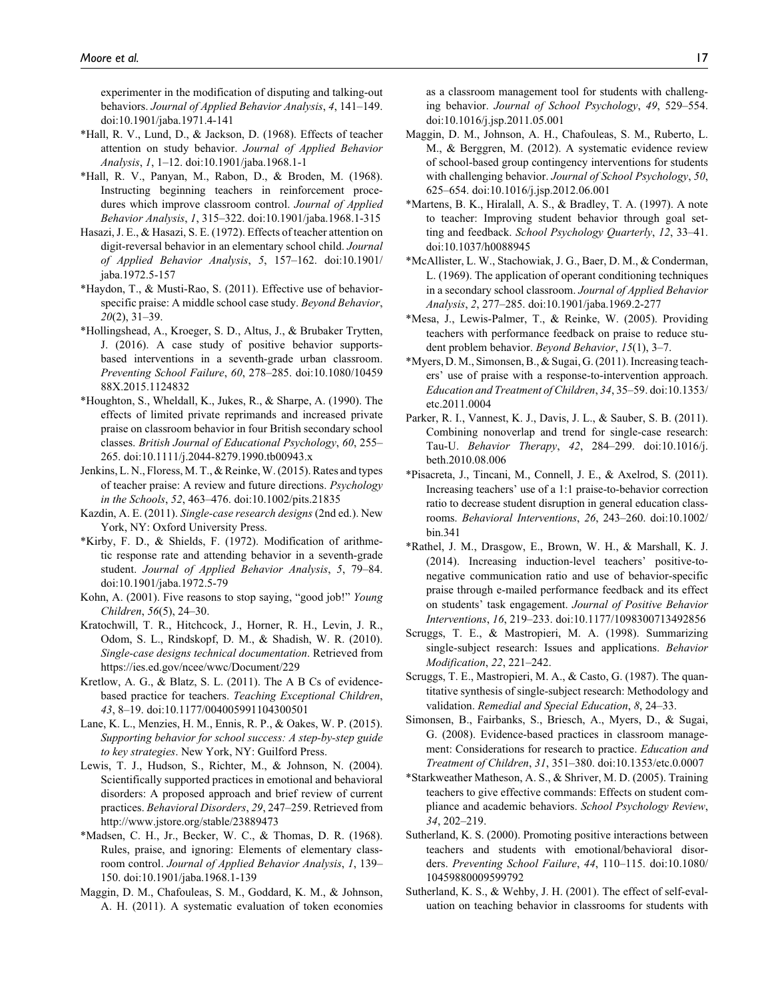experimenter in the modification of disputing and talking-out behaviors. *Journal of Applied Behavior Analysis*, *4*, 141–149. doi:10.1901/jaba.1971.4-141

- \*Hall, R. V., Lund, D., & Jackson, D. (1968). Effects of teacher attention on study behavior. *Journal of Applied Behavior Analysis*, *1*, 1–12. doi:10.1901/jaba.1968.1-1
- \*Hall, R. V., Panyan, M., Rabon, D., & Broden, M. (1968). Instructing beginning teachers in reinforcement procedures which improve classroom control. *Journal of Applied Behavior Analysis*, *1*, 315–322. doi:10.1901/jaba.1968.1-315
- Hasazi, J. E., & Hasazi, S. E. (1972). Effects of teacher attention on digit-reversal behavior in an elementary school child. *Journal of Applied Behavior Analysis*, *5*, 157–162. doi:10.1901/ jaba.1972.5-157
- \*Haydon, T., & Musti-Rao, S. (2011). Effective use of behaviorspecific praise: A middle school case study. *Beyond Behavior*, *20*(2), 31–39.
- \*Hollingshead, A., Kroeger, S. D., Altus, J., & Brubaker Trytten, J. (2016). A case study of positive behavior supportsbased interventions in a seventh-grade urban classroom. *Preventing School Failure*, *60*, 278–285. doi:10.1080/10459 88X.2015.1124832
- \*Houghton, S., Wheldall, K., Jukes, R., & Sharpe, A. (1990). The effects of limited private reprimands and increased private praise on classroom behavior in four British secondary school classes. *British Journal of Educational Psychology*, *60*, 255– 265. doi:10.1111/j.2044-8279.1990.tb00943.x
- Jenkins, L. N., Floress, M. T., & Reinke, W. (2015). Rates and types of teacher praise: A review and future directions. *Psychology in the Schools*, *52*, 463–476. doi:10.1002/pits.21835
- Kazdin, A. E. (2011). *Single-case research designs* (2nd ed.). New York, NY: Oxford University Press.
- \*Kirby, F. D., & Shields, F. (1972). Modification of arithmetic response rate and attending behavior in a seventh-grade student. *Journal of Applied Behavior Analysis*, *5*, 79–84. doi:10.1901/jaba.1972.5-79
- Kohn, A. (2001). Five reasons to stop saying, "good job!" *Young Children*, *56*(5), 24–30.
- Kratochwill, T. R., Hitchcock, J., Horner, R. H., Levin, J. R., Odom, S. L., Rindskopf, D. M., & Shadish, W. R. (2010). *Single-case designs technical documentation*. Retrieved from <https://ies.ed.gov/ncee/wwc/Document/229>
- Kretlow, A. G., & Blatz, S. L. (2011). The A B Cs of evidencebased practice for teachers. *Teaching Exceptional Children*, *43*, 8–19. doi:10.1177/004005991104300501
- Lane, K. L., Menzies, H. M., Ennis, R. P., & Oakes, W. P. (2015). *Supporting behavior for school success: A step-by-step guide to key strategies*. New York, NY: Guilford Press.
- Lewis, T. J., Hudson, S., Richter, M., & Johnson, N. (2004). Scientifically supported practices in emotional and behavioral disorders: A proposed approach and brief review of current practices. *Behavioral Disorders*, *29*, 247–259. Retrieved from <http://www.jstore.org/stable/23889473>
- \*Madsen, C. H., Jr., Becker, W. C., & Thomas, D. R. (1968). Rules, praise, and ignoring: Elements of elementary classroom control. *Journal of Applied Behavior Analysis*, *1*, 139– 150. doi:10.1901/jaba.1968.1-139
- Maggin, D. M., Chafouleas, S. M., Goddard, K. M., & Johnson, A. H. (2011). A systematic evaluation of token economies

as a classroom management tool for students with challenging behavior. *Journal of School Psychology*, *49*, 529–554. doi:10.1016/j.jsp.2011.05.001

- Maggin, D. M., Johnson, A. H., Chafouleas, S. M., Ruberto, L. M., & Berggren, M. (2012). A systematic evidence review of school-based group contingency interventions for students with challenging behavior. *Journal of School Psychology*, *50*, 625–654. doi:10.1016/j.jsp.2012.06.001
- \*Martens, B. K., Hiralall, A. S., & Bradley, T. A. (1997). A note to teacher: Improving student behavior through goal setting and feedback. *School Psychology Quarterly*, *12*, 33–41. doi:10.1037/h0088945
- \*McAllister, L. W., Stachowiak, J. G., Baer, D. M., & Conderman, L. (1969). The application of operant conditioning techniques in a secondary school classroom. *Journal of Applied Behavior Analysis*, *2*, 277–285. doi:10.1901/jaba.1969.2-277
- \*Mesa, J., Lewis-Palmer, T., & Reinke, W. (2005). Providing teachers with performance feedback on praise to reduce student problem behavior. *Beyond Behavior*, *15*(1), 3–7.
- \*Myers, D. M., Simonsen, B., & Sugai, G. (2011). Increasing teachers' use of praise with a response-to-intervention approach. *Education and Treatment of Children*, *34*, 35–59. doi:10.1353/ etc.2011.0004
- Parker, R. I., Vannest, K. J., Davis, J. L., & Sauber, S. B. (2011). Combining nonoverlap and trend for single-case research: Tau-U. *Behavior Therapy*, *42*, 284–299. doi:10.1016/j. beth.2010.08.006
- \*Pisacreta, J., Tincani, M., Connell, J. E., & Axelrod, S. (2011). Increasing teachers' use of a 1:1 praise-to-behavior correction ratio to decrease student disruption in general education classrooms. *Behavioral Interventions*, *26*, 243–260. doi:10.1002/ bin.341
- \*Rathel, J. M., Drasgow, E., Brown, W. H., & Marshall, K. J. (2014). Increasing induction-level teachers' positive-tonegative communication ratio and use of behavior-specific praise through e-mailed performance feedback and its effect on students' task engagement. *Journal of Positive Behavior Interventions*, *16*, 219–233. doi:10.1177/1098300713492856
- Scruggs, T. E., & Mastropieri, M. A. (1998). Summarizing single-subject research: Issues and applications. *Behavior Modification*, *22*, 221–242.
- Scruggs, T. E., Mastropieri, M. A., & Casto, G. (1987). The quantitative synthesis of single-subject research: Methodology and validation. *Remedial and Special Education*, *8*, 24–33.
- Simonsen, B., Fairbanks, S., Briesch, A., Myers, D., & Sugai, G. (2008). Evidence-based practices in classroom management: Considerations for research to practice. *Education and Treatment of Children*, *31*, 351–380. doi:10.1353/etc.0.0007
- \*Starkweather Matheson, A. S., & Shriver, M. D. (2005). Training teachers to give effective commands: Effects on student compliance and academic behaviors. *School Psychology Review*, *34*, 202–219.
- Sutherland, K. S. (2000). Promoting positive interactions between teachers and students with emotional/behavioral disorders. *Preventing School Failure*, *44*, 110–115. doi:10.1080/ 10459880009599792
- Sutherland, K. S., & Wehby, J. H. (2001). The effect of self-evaluation on teaching behavior in classrooms for students with